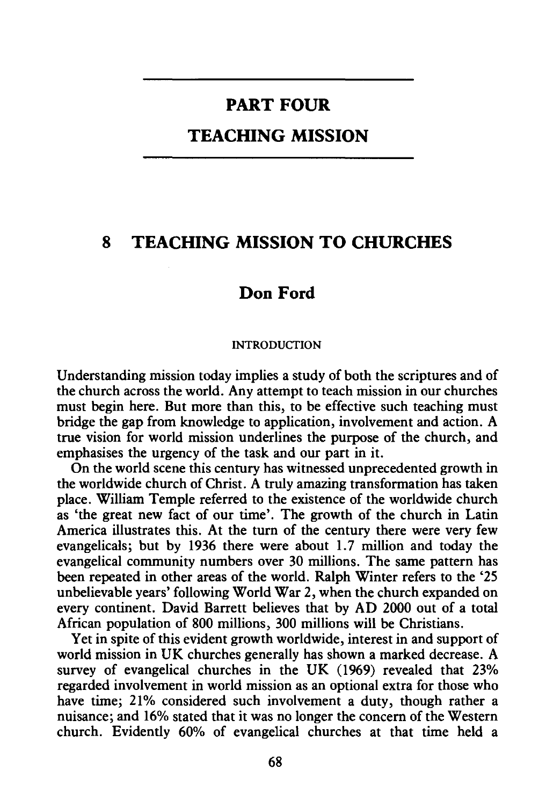# **PART FOUR**

# **TEACHING MISSION**

# **8 TEACHING MISSION TO CHURCHES**

# **Don Ford**

#### INTRODUCTION

Understanding mission today implies a study of both the scriptures and of the church across the world. Any attempt to teach mission in our churches must begin here. But more than this, to be effective such teaching must bridge the gap from knowledge to application, involvement and action. A true vision for world mission underlines the purpose of the church, and emphasises the urgency of the task and our part in it.

On the world scene this century has witnessed unprecedented growth in the worldwide church of Christ. A truly amazing transformation has taken place. William Temple referred to the existence of the worldwide church as 'the great new fact of our time'. The growth of the church in Latin America illustrates this. At the turn of the century there were very few evangelicals; but by 1936 there were about 1.7 million and today the evangelical community numbers over 30 millions. The same pattern has been repeated in other areas of the world. Ralph Winter refers to the '25 unbelievable years' following World War 2, when the church expanded on every continent. David Barrett believes that by AD 2000 out of a total African population of 800 millions, 300 millions will be Christians.

Yet in spite of this evident growth worldwide, interest in and support of world mission in UK churches generally has shown a marked decrease. A survey of evangelical churches in the UK (1969) revealed that 23% regarded involvement in world mission as an optional extra for those who have time; 21% considered such involvement a duty, though rather a nuisance; and 16% stated that it was no longer the concern of the Western church. Evidently 60% of evangelical churches at that time held a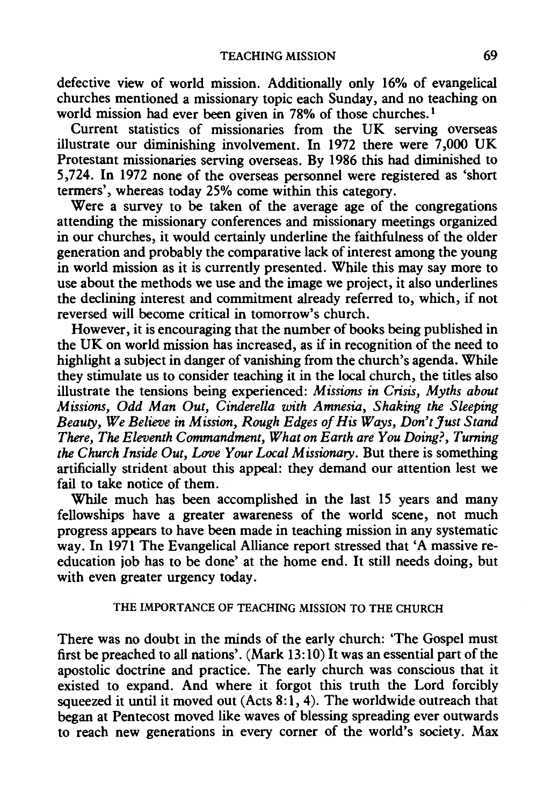defective view of world mission. Additionally only 16% of evangelical churches mentioned a missionary topic each Sunday, and no teaching on world mission had ever been given in 78% of those churches.<sup>1</sup>

Current statistics of missionaries from the UK serving overseas illustrate our diminishing involvement. In 1972 there were 7,000 UK Protestant missionaries serving overseas. By 1986 this had diminished to 5,724. In 1972 none of the overseas personnel were registered as 'short termers', whereas today 25% come within this category.

Were a survey to be taken of the average age of the congregations attending the missionary conferences and missionary meetings organized in our churches, it would certainly underline the faithfulness of the older generation and probably the comparative lack of interest among the young in world mission as it is currently presented. While this may say more to use about the methods we use and the image we project, it also underlines the declining interest and commitment already referred to, which, if not reversed will become critical in tomorrow's church.

However, it is encouraging that the number of books being published in the UK on world mission has increased, as if in recognition of the need to highlight a subject in danger of vanishing from the church's agenda. While they stimulate us to consider teaching it in the local church, the titles also illustrate the tensions being experienced: *Missions in Crisis, Myths about Missions, Odd Man Out, Cinderella with Amnesia, Shaking the Sleeping Beauty, We Believe in Mission, Rough Edges of His Ways, Don't Just Stand There, The Eleventh Commandment, What on Earth are You Doing?, Turning the Church Inside Out, Love Your Local Missionary.* But there is something artificially strident about this appeal: they demand our attention lest we fail to take notice of them.

While much has been accomplished in the last 15 years and many fellowships have a greater awareness of the world scene, not much progress appears to have been made in teaching mission in any systematic way. In 1971 The Evangelical Alliance report stressed that 'A massive reeducation job has to be done' at the home end. It still needs doing, but with even greater urgency today.

## THE IMPORTANCE OF TEACHING MISSION TO THE CHURCH

There was no doubt in the minds of the early church: 'The Gospel must first be preached to all nations'. (Mark 13: 10) It was an essential part of the apostolic doctrine and practice. The early church was conscious that it existed to expand. And where it forgot this truth the Lord forcibly squeezed it until it moved out (Acts  $8:1, 4$ ). The worldwide outreach that began at Pentecost moved like waves of blessing spreading ever outwards to reach new generations in every corner of the world's society. Max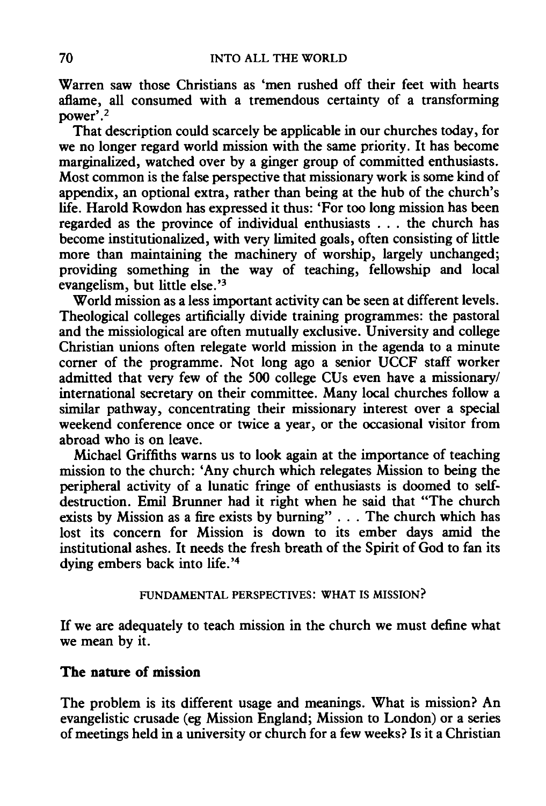Warren saw those Christians as 'men rushed off their feet with hearts aflame, all consumed with a tremendous certainty of a transforming power'.2

That description could scarcely be applicable in our churches today, for we no longer regard world mission with the same priority. It has become marginalized, watched over by a ginger group of committed enthusiasts. Most common is the false perspective that missionary work is some kind of appendix, an optional extra, rather than being at the hub of the church's life. Harold Rowdon has expressed it thus: 'For too long mission has been regarded as the province of individual enthusiasts . . . the church has become institutionalized, with very limited goals, often consisting of little more than maintaining the machinery of worship, largely unchanged; providing something in the way of teaching, fellowship and local evangelism, but little else.'3

World mission as a less important activity can be seen at different levels. Theological colleges artificially divide training programmes: the pastoral and the missiological are often mutually exclusive. University and college Christian unions often relegate world mission in the agenda to a minute corner of the programme. Not long ago a senior UCCF staff worker admitted that very few of the 500 college CUs even have a missionary/ international secretary on their committee. Many local churches follow a similar pathway, concentrating their missionary interest over a special weekend conference once or twice a year, or the occasional visitor from abroad who is on leave.

Michael Griffiths warns us to look again at the importance of teaching mission to the church: 'Any church which relegates Mission to being the peripheral activity of a lunatic fringe of enthusiasts is doomed to selfdestruction. Emil Brunner had it right when he said that "The church exists by Mission as a fire exists by burning" . . . The church which has lost its concern for Mission is down to its ember days amid the institutional ashes. It needs the fresh breath of the Spirit of God to fan its dying embers back into life.'<sup>4</sup>

# FUNDAMENTAL PERSPECTIVES: WHAT IS MISSION?

If we are adequately to teach mission in the church we must define what we mean by it.

# The nature of mission

The problem is its different usage and meanings. What is mission? An evangelistic crusade (eg Mission England; Mission to London) or a series of meetings held in a university or church for a few weeks? Is it a Christian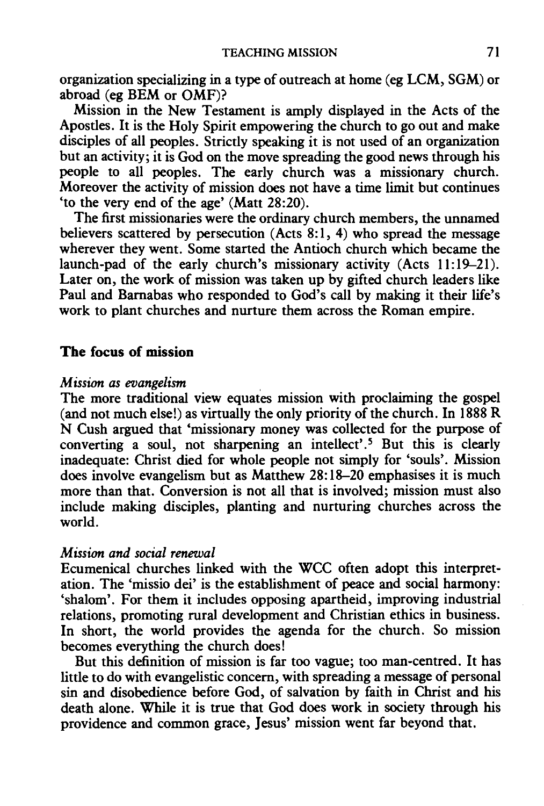organization specializing in a type of outreach at home (eg LCM, SGM) or abroad (eg BEM or OMF)?

Mission in the New Testament is amply displayed in the Acts of the Aposdes. It is the Holy Spirit empowering the church to go out and make disciples of all peoples. Stricdy speaking it is not used of an organization but an activity; it is God on the move spreading the good news through his people to all peoples. The early church was a missionary church. Moreover the activity of mission does not have a time limit but continues 'to the very end of the age' (Matt 28:20).

The first missionaries were the ordinary church members, the unnamed believers scattered by persecution (Acts  $8:1, 4$ ) who spread the message wherever they went. Some started the Antioch church which became the launch-pad of the early church's missionary activity (Acts 11:19-21). Later on, the work of mission was taken up by gifted church leaders like Paul and Bamabas who responded to God's call by making it their life's work to plant churches and nurture them across the Roman empire.

# **The** focus of mission

## *Mission as evangelism*

The more traditional view equates mission with proclaiming the gospel (and not much else!) as virtually the only priority of the church. In  $1888 \text{ R}$ N Cush argued that 'missionary money was collected for the purpose of converting a soul, not sharpening an intellect'.<sup>5</sup> But this is clearly inadequate: Christ died for whole people not simply for 'souls'. Mission does involve evangelism but as Matthew 28:18-20 emphasises it is much more than that. Conversion is not all that is involved; mission must also include making disciples, planting and nurturing churches across the world.

# *Mission and social renewal*

Ecumenical churches linked with the WCC often adopt this interpretation. The 'missio dei' is the establishment of peace and social harmony: 'shalom'. For them it includes opposing apartheid, improving industrial relations, promoting rural development and Christian ethics in business. In short, the world provides the agenda for the church. So mission becomes everything the church does!

But this definition of mission is far too vague; too man-centred. It has litde to do with evangelistic concern, with spreading a message of personal sin and disobedience before God, of salvation by faith in Christ and his death alone. While it is true that God does work in society through his providence and common grace, Jesus' mission went far beyond that.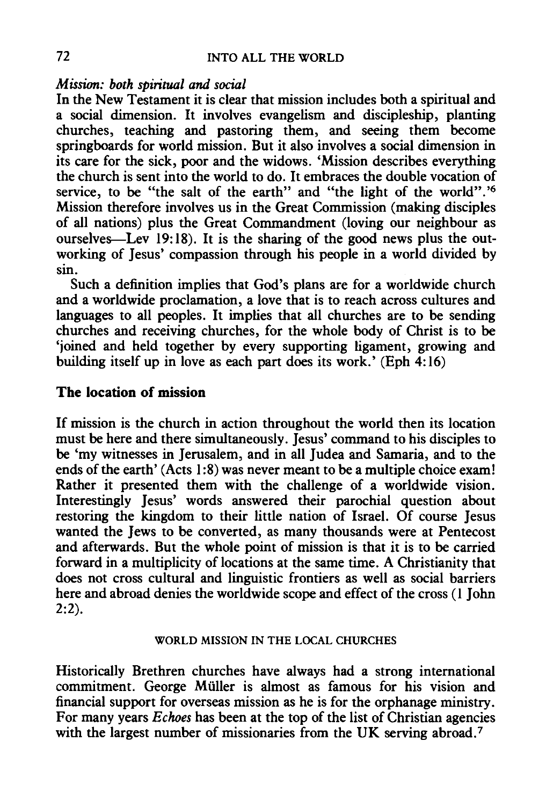## *Mission: both spiritual and social*

In the New Testament it is clear that mission includes both a spiritual and a social dimension. It involves evangelism and discipleship, planting churches, teaching and pastoring them, and seeing them become springboards for world mission. But it also involves a social dimension in its care for the sick, poor and the widows. 'Mission describes everything the church is sent into the world to do. It embraces the double vocation of service, to be "the salt of the earth" and "the light of the world".<sup>16</sup> Mission therefore involves us in the Great Commission (making disciples of all nations) plus the Great Commandment (loving our neighbour as ourselves-Lev 19:18). It is the sharing of the good news plus the outworking of Jesus' compassion through his people in a world divided by sin.

Such a definition implies that God's plans are for a worldwide church and a worldwide proclamation, a love that is to reach across cultures and languages to all peoples. It implies that all churches are to be sending churches and receiving churches, for the whole body of Christ is to be 'joined and held together by every supporting ligament, growing and building itself up in love as each part does its work.' (Eph 4:16)

# The location of mission

If mission is the church in action throughout the world then its location must be here and there simultaneously. Jesus' command to his disciples to be 'my witnesses in Jerusalem, and in all Judea and Samaria, and to the ends of the earth' (Acts 1:8) was never meant to be a multiple choice exam! Rather it presented them with the challenge of a worldwide vision. Interestingly Jesus' words answered their parochial question about restoring the kingdom to their little nation of Israel. Of course Jesus wanted the Jews to be converted, as many thousands were at Pentecost and afterwards. But the whole point of mission is that it is to be carried forward in a multiplicity of locations at the same time. A Christianity that does not cross cultural and linguistic frontiers as well as social barriers here and abroad denies the worldwide scope and effect of the cross (1 John  $2:2$ ).

## WORLD MISSION IN THE LOCAL CHURCHES

Historically Brethren churches have always had a strong international commitment. George Muller is almost as famous for his vision and financial support for overseas mission as he is for the orphanage ministry. For many years *Echoes* has been at the top of the list of Christian agencies with the largest number of missionaries from the UK serving abroad.<sup>7</sup>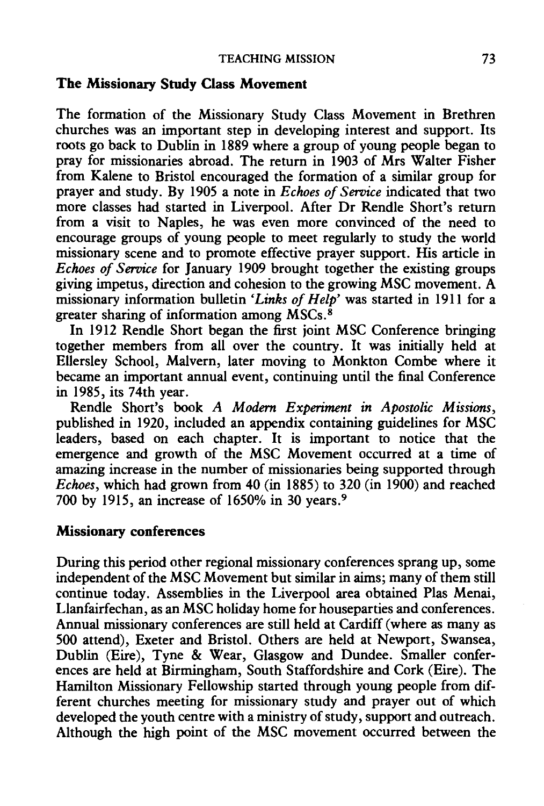# The Missionary Study Class Movement

The formation of the Missionary Study Class Movement in Brethren churches was an important step in developing interest and support. Its roots go back to Dublin in 1889 where a group of young people began to pray for missionaries abroad. The return in 1903 of Mrs Waiter Fisher from Kalene to Bristol encouraged the formation of a similar group for prayer and study. By 1905 a note in *Echoes of Service* indicated that two more classes had started in Liverpool. After Dr Rendle Short's return from a visit to Naples, he was even more convinced of the need to encourage groups of young people to meet regularly to study the world missionary scene and to promote effective prayer support. His article in *Echoes of Service* for January 1909 brought together the existing groups giving impetus, direction and cohesion to the growing MSC movement. A missionary information bulletin *'Links of Help'* was started in 1911 for a greater sharing of information among  $\overline{MSCs}$ .<sup>8</sup>

In 1912 Rendle Short began the first joint MSC Conference bringing together members from all over the country. It was initially held at Ellersley School, Malvern, later moving to Monkton Combe where it became an important annual event, continuing until the final Conference in 1985, its 74th year.

Rendle Short's book *A Modern Experiment in Apostolic Missions,*  published in 1920, included an appendix containing guidelines for MSC leaders, based on each chapter. It is important to notice that the emergence and growth of the MSC Movement occurred at a time of amazing increase in the number of missionaries being supported through *Echoes,* which had grown from 40 (in 1885) to 320 (in 1900) and reached 700 by 1915, an increase of 1650% in 30 years. <sup>9</sup>

# Missionary conferences

During this period other regional missionary conferences sprang up, some independent of the MSC Movement but similar in aims; many of them still continue today. Assemblies in the Liverpool area obtained Plas Menai, Llanfairfechan, as an MSC holiday home for houseparties and conferences. Annual missionary conferences are still held at Cardiff (where as many as 500 attend), Exeter and Bristol. Others are held at Newport, Swansea, Dublin (Eire), Tyne & Wear, Glasgow and Dundee. Smaller conferences are held at Birmingham, South Staffordshire and Cork (Eire). The Hamilton Missionary Fellowship started through young people from different churches meeting for missionary study and prayer out of which developed the youth centre with a ministry of study, support and outreach. Although the high point of the MSC movement occurred between the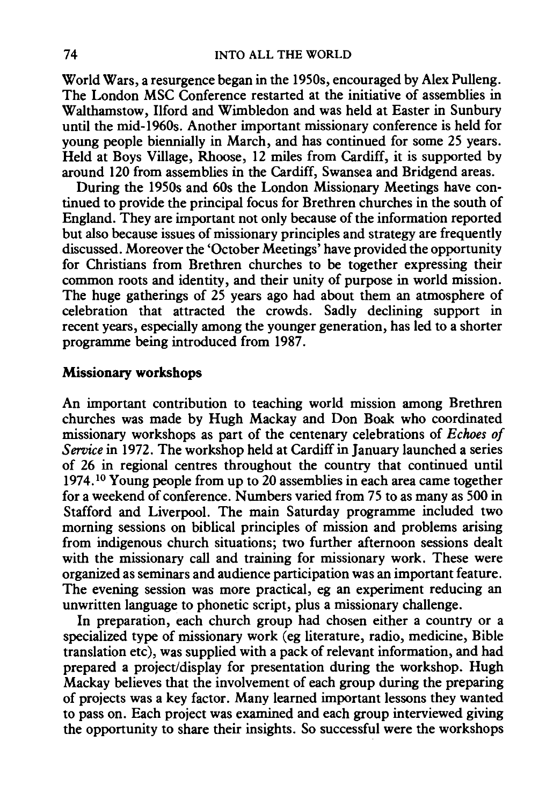World Wars, a resurgence began in the 1950s, encouraged by Alex Pulleng. The London MSC Conference restarted at the initiative of assemblies in Walthamstow, Ilford and Wimbledon and was held at Easter in Sunbury until the mid-1960s. Another important missionary conference is held for young people biennially in March, and has continued for some 25 years. Held at Boys Village, Rhoose, 12 miles from Cardiff, it is supported by around 120 from assemblies in the Cardiff, Swansea and Bridgend areas.

During the 1950s and 60s the London Missionary Meetings have continued to provide the principal focus for Brethren churches in the south of England. They are important not only because of the information reported but also because issues of missionary principles and strategy are frequently discussed. Moreover the 'October Meetings' have provided the opportunity for Christians from Brethren churches to be together expressing their common roots and identity, and their unity of purpose in world mission. The huge gatherings of 25 years ago had about them an atmosphere of celebration that attracted the crowds. Sadly declining support in recent years, especially among the younger generation, has led to a shorter programme being introduced from 1987.

# **Missionary workshops**

An important contribution to teaching world mission among Brethren churches was made by Hugh Mackay and Don Boak who coordinated missionary workshops as part of the centenary celebrations of *Echoes of Service* in 1972. The workshop held at Cardiff in January launched a series of 26 in regional centres throughout the country that continued until 1974. 10 Young people from up to 20 assemblies in each area came together for a weekend of conference. Numbers varied from 75 to as many as 500 in Stafford and Liverpool. The main Saturday programme included two morning sessions on biblical principles of mission and problems arising from indigenous church situations; two further afternoon sessions dealt with the missionary call and training for missionary work. These were organized as seminars and audience participation was an important feature. The evening session was more practical, eg an experiment reducing an unwritten language to phonetic script, plus a missionary challenge.

In preparation, each church group had chosen either a country or a specialized type of missionary work (eg literature, radio, medicine, Bible translation etc), was supplied with a pack of relevant information, and had prepared a project/display for presentation during the workshop. Hugh Mackay believes that the involvement of each group during the preparing of projects was a key factor. Many learned important lessons they wanted to pass on. Each project was examined and each group interviewed giving the opportunity to share their insights. So successful were the workshops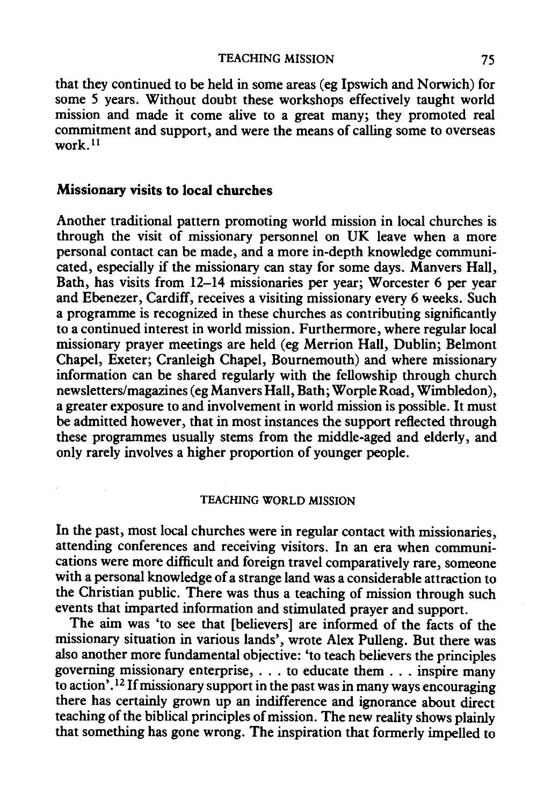that they continued to be held in some areas (eg Ipswich and Norwich) for some 5 years. Without doubt these workshops effectively taught world mission and made it come alive to a great many; they promoted real commitment and support, and were the means of calling some to overseas work $11$ 

## Missionary visits to local churches

Another traditional pattern promoting world mission in local churches is through the visit of missionary personnel on UK leave when a more personal contact can be made, and a more in-depth knowledge communicated, especially if the missionary can stay for some days. Manvers Hall, Bath, has visits from 12-14 missionaries per year; Worcester 6 per year and Ebenezer, Cardiff, receives a visiting missionary every 6 weeks. Such a programme is recognized in these churches as contributing significantly to a continued interest in world mission. Furthermore, where regular local missionary prayer meetings are held (eg Merrion Hall, Dublin; Belmont Chapel, Exeter; Cranleigh Chapel, Bournemouth) and where missionary information can be shared regularly with the fellowship through church newsletters/magazines (eg Manvers Hall, Bath; Worple Road, Wimbledon), a greater exposure to and involvement in world mission is possible. It must be admitted however, that in most instances the support reflected through these programmes usually stems from the middle-aged and elderly, and only rarely involves a higher proportion of younger people.

#### TEACHING WORLD MISSION

In the past, most local churches were in regular contact with missionaries, attending conferences and receiving visitors. In an era when communications were more difficult and foreign travel comparatively rare, someone with a personal knowledge of a strange land was a considerable attraction to the Christian public. There was thus a teaching of mission through such events that imparted information and stimulated prayer and support.

The aim was 'to see that [believers] are informed of the facts of the missionary situation in various lands', wrote Alex Pulleng. But there was also another more fundamental objective: 'to teach believers the principles governing missionary enterprise, ... to educate them ... inspire many to action'.<sup>12</sup> If missionary support in the past was in many ways encouraging there has certainly grown up an indifference and ignorance about direct teaching of the biblical principles of mission. The new reality shows plainly that something has gone wrong. The inspiration that formerly impelled to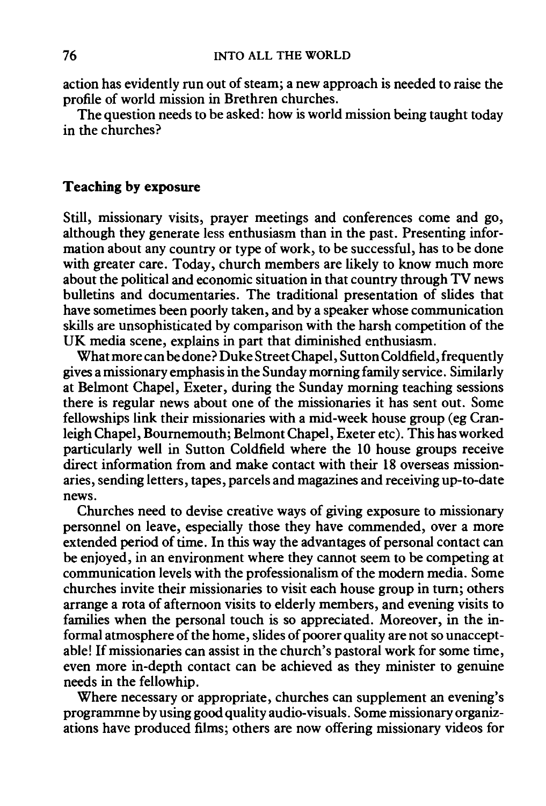action has evidently run out of steam; a new approach is needed to raise the profile of world mission in Brethren churches.

The question needs to be asked: how is world mission being taught today in the churches?

# Teaching by exposure

Still, missionary visits, prayer meetings and conferences come and go, although they generate less enthusiasm than in the past. Presenting information about any country or type of work, to be successful, has to be done with greater care. Today, church members are likely to know much more about the political and economic situation in that country through TV news bulletins and documentaries. The traditional presentation of slides that have sometimes been poorly taken, and by a speaker whose communication skills are unsophisticated by comparison with the harsh competition of the UK media scene, explains in part that diminished enthusiasm.

What more can be done? Duke Street Chapel, Sutton Coldfield, frequently gives a missionary emphasis in the Sunday morning family service. Similarly at Belmont Chapel, Exeter, during the Sunday morning teaching sessions there is regular news about one of the missionaries it has sent out. Some fellowships link their missionaries with a mid-week house group (eg Cranleigh Chapel, Bournemouth; Belmont Chapel, Exeter etc). This has worked particularly well in Sutton Coldfield where the 10 house groups receive direct information from and make contact with their 18 overseas missionaries, sending letters, tapes, parcels and magazines and receiving up-to-date news.

Churches need to devise creative ways of giving exposure to missionary personnel on leave, especially those they have commended, over a more extended period of time. In this way the advantages of personal contact can be enjoyed, in an environment where they cannot seem to be competing at communication levels with the professionalism of the modern media. Some churches invite their missionaries to visit each house group in turn; others arrange a rota of afternoon visits to elderly members, and evening visits to families when the personal touch is so appreciated. Moreover, in the informal atmosphere of the home, slides of poorer quality are not so unacceptable! If missionaries can assist in the church's pastoral work for some time, even more in-depth contact can be achieved as they minister to genuine needs in the fellowhip.

Where necessary or appropriate, churches can supplement an evening's programmne by using good quality audio-visuals. Some missionary organizations have produced films; others are now offering missionary videos for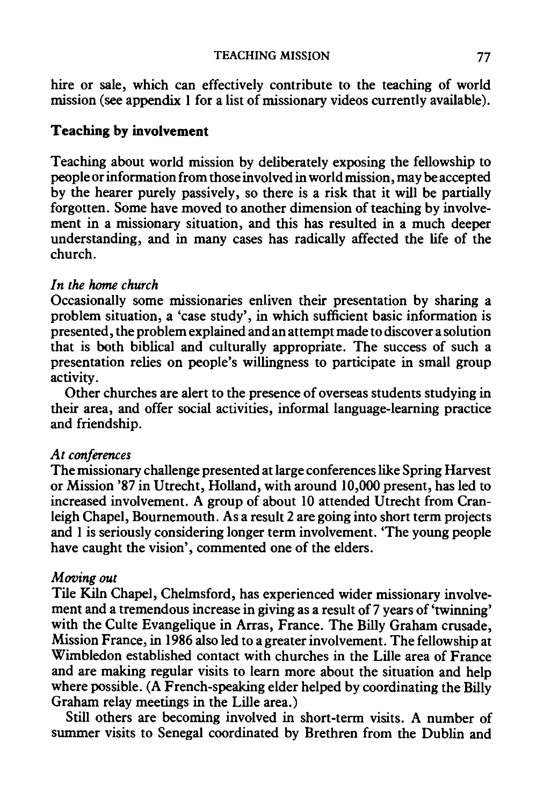hire or sale, which can effectively contribute to the teaching of world mission (see appendix 1 for a list of missionary videos currently available).

# **Teaching by involvement**

Teaching about world mission by deliberately exposing the fellowship to people or information from those involved in world mission, may be accepted by the hearer purely passively, so there is a risk that it will be partially forgotten. Some have moved to another dimension of teaching by involvement in a missionary situation, and this has resulted in a much deeper understanding, and in many cases has radically affected the life of the church.

# *In the* home *church*

Occasionally some missionaries enliven their presentation by sharing a problem situation, a 'case study', in which sufficient basic information is presented, the problem explained and an attempt made to discover a solution that is both biblical and culturally appropriate. The success of such a presentation relies on people's willingness to participate in small group activity.

Other churches are alert to the presence of overseas students studying in their area, and offer social activities, informal language-learning practice and friendship.

# *At conferences*

The missionary challenge presented at large conferences like Spring Harvest or Mission '87 in Utrecht, Holland, with around 10,000 present, has led to increased involvement. A group of about 10 attended Utrecht from Cranleigh Chapel, Bournemouth. As a result 2 are going into short term projects and 1 is seriously considering longer term involvement. 'The young people have caught the vision', commented one of the elders.

# *Moving out*

Tile Kiln Chapel, Chelmsford, has experienced wider missionary involvement and a tremendous increase in giving as a result of 7 years of 'twinning' with the Culte Evangelique in Arras, France. The Billy Graham crusade, Mission France, in 1986 also led to a greater involvement. The fellowship at Wimbledon established contact with churches in the Lille area of France and are making regular visits to learn more about the situation and help where possible. (A French-speaking elder helped by coordinating the Billy Graham relay meetings in the Lille area.)

Still others are becoming involved in short-term visits. A number of summer visits to Senegal coordinated by Brethren from the Dublin and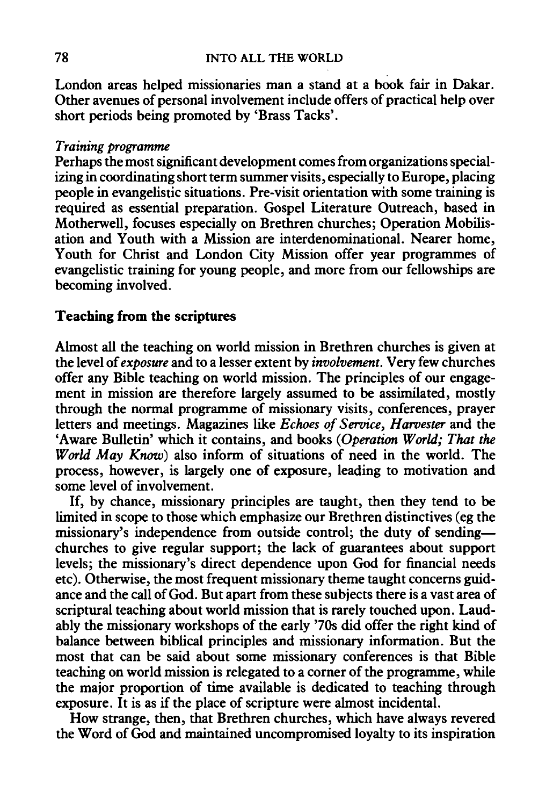London areas helped missionaries man a stand at a book fair in Dakar. Other avenues of personal involvement include offers of practical help over short periods being promoted by 'Brass Tacks'.

## *Training programme*

Perhaps the most significant development comes from organizations specializing in coordinating short term summer visits, especially to Europe, placing people in evangelistic situations. Pre-visit orientation with some training is required as essential preparation. Gospel Literature Outreach, based in Motherwell, focuses especially on Brethren churches; Operation Mobilisation and Youth with a Mission are interdenominational. Nearer home, Youth for Christ and London City Mission offer year programmes of evangelistic training for young people, and more from our fellowships are becoming involved.

# Teaching from the scriptures

Almost all the teaching on world mission in Brethren churches is given at the level of *exposure* and to a lesser extent by *involvement.* Very few churches offer any Bible teaching on world mission. The principles of our engagement in mission are therefore largely assumed to be assimilated, mostly through the normal programme of missionary visits, conferences, prayer letters and meetings. Magazines like *Echoes of Service, Harvester* and the 'Aware Bulletin' which it contains, and books *(Operation World; That the World May Know*) also inform of situations of need in the world. The process, however, is largely one of exposure, leading to motivation and some level of involvement.

If, by chance, missionary principles are taught, then they tend to be limited in scope to those which emphasize our Brethren distinctives (eg the missionary's independence from outside control; the duty of sendingchurches to give regular support; the lack of guarantees about support levels; the missionary's direct dependence upon God for financial needs etc). Otherwise, the most frequent missionary theme taught concerns guidance and the call of God. But apart from these subjects there is a vast area of scriptural teaching about world mission that is rarely touched upon. Laudably the missionary workshops of the early '70s did offer the right kind of balance between biblical principles and missionary information. But the most that can be said about some missionary conferences is that Bible teaching on world mission is relegated to a corner of the programme, while the major proportion of time available is dedicated to teaching through exposure. It is as if the place of scripture were almost incidental.

How strange, then, that Brethren churches, which have always revered the Word of God and maintained uncompromised loyalty to its inspiration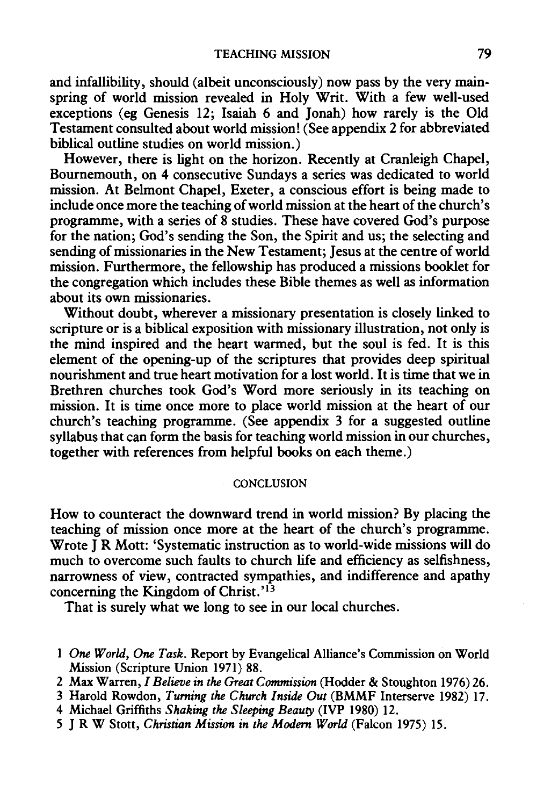and infallibility, should (albeit unconsciously) now pass by the very mainspring of world mission revealed in Holy Writ. With a few well-used exceptions (eg Genesis 12; Isaiah 6 and Jonah) how rarely is the Old Testament consulted about world mission! (See appendix 2 for abbreviated biblical outline studies on world mission.)

However, there is light on the horizon. Recently at Cranleigh Chapel, Bournemouth, on 4 consecutive Sundays a series was dedicated to world mission. At Belmont Chapel, Exeter, a conscious effort is being made to include once more the teaching of world mission at the heart of the church's programme, with a series of 8 studies. These have covered God's purpose for the nation; God's sending the Son, the Spirit and us; the selecting and sending of missionaries in the New Testament; Jesus at the centre of world mission. Furthermore, the fellowship has produced a missions booklet for the congregation which includes these Bible themes as well as information about its own missionaries.

Without doubt, wherever a missionary presentation is closely linked to scripture or is a biblical exposition with missionary illustration, not only is the mind inspired and the heart warmed, but the soul is fed. It is this element of the opening-up of the scriptures that provides deep spiritual nourishment and true heart motivation for a lost world. It is time that we in Brethren churches took God's Word more seriously in its teaching on mission. It is time once more to place world mission at the heart of our church's teaching programme. (See appendix 3 for a suggested outline syllabus that can form the basis for teaching world mission in our churches, together with references from helpful books on each theme.)

#### **CONCLUSION**

How to counteract the downward trend in world mission? By placing the teaching of mission once more at the heart of the church's programme. Wrote J R Mott: 'Systematic instruction as to world-wide missions will do much to overcome such faults to church life and efficiency as selfishness, narrowness of view, contracted sympathies, and indifference and apathy concerning the Kingdom of Christ.'<sup>13</sup>

That is surely what we long to see in our local churches.

- 1 *One World,* One *Task.* Report by Evangelical Alliance's Commission on World Mission (Scripture Union 1971) 88.
- 2 Max Warren, *I Believe in the Great Commission* (Hodder & Stoughton 1976) 26.
- 3 Harold Rowdon, *Turning the Church Inside Out* (BMMF lnterserve 1982) 17.
- 4 Michael Griffiths *Shaking the Sleeping Beauty* (IVP 1980) 12.
- 5 J R W Stott, *Christian Mission in the Modem World* (Falcon 1975) 15.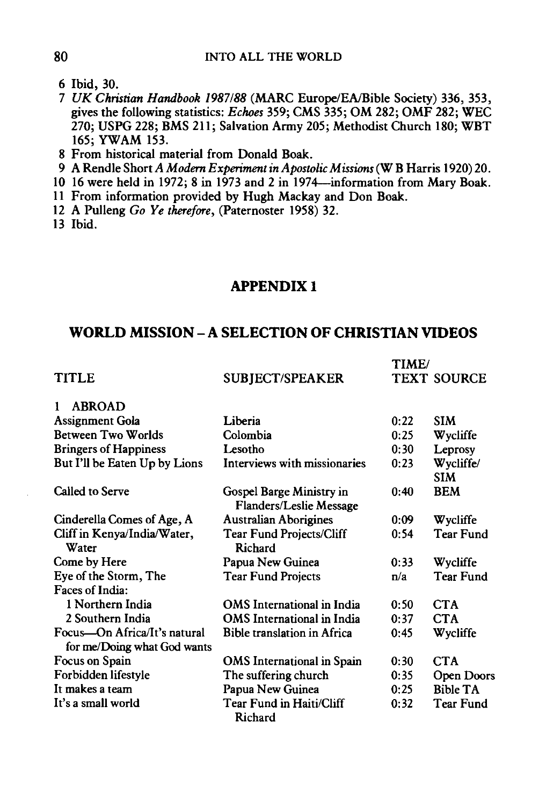- 6 Ibid, 30.
- 7 *UK Christian Handbook 1987188* (MARC Europe/EA/Bible Society) 336, 353, gives the following statistics: *Echoes* 359; CMS 335; OM 282; OMF 282; WEC 270; USPG 228; BMS 211; Salvation Army 205; Methodist Church 180; WBT 165; YWAM 153.
- 8 From historical material from Donald Boak.
- 9 A Rendle Short *A Modern Experiment in Apostolic Missions* (W B Harris 1920) 20.
- 10 16 were held in 1972; 8 in 1973 and 2 in 1974-information from Mary Boak.
- 11 From information provided by Hugh Mackay and Don Boak.
- 12 A Pulleng *Go Ye therefore,* (Paternoster 1958) 32.
- 13 Ibid.

## **APPENDIX** I

# **WORLD MISSION- A SELECTION OF CHRISTIAN VIDEOS**

| WORLD MISSION – A SELECTION OF CHRISTIAN VIDEOS             |                                                            |                             |                         |  |
|-------------------------------------------------------------|------------------------------------------------------------|-----------------------------|-------------------------|--|
| <b>TITLE</b>                                                | <b>SUBJECT/SPEAKER</b>                                     | TIME/<br><b>TEXT SOURCE</b> |                         |  |
| 1<br><b>ABROAD</b>                                          |                                                            |                             |                         |  |
| Assignment Gola                                             | Liberia                                                    | 0:22                        | <b>SIM</b>              |  |
| <b>Between Two Worlds</b>                                   | Colombia                                                   | 0:25                        | Wycliffe                |  |
| <b>Bringers of Happiness</b>                                | Lesotho                                                    | 0:30                        | Leprosy                 |  |
| But I'll be Eaten Up by Lions                               | Interviews with missionaries                               | 0:23                        | Wycliffe/<br><b>SIM</b> |  |
| Called to Serve                                             | Gospel Barge Ministry in<br><b>Flanders/Leslie Message</b> | 0:40                        | <b>BEM</b>              |  |
| Cinderella Comes of Age, A                                  | <b>Australian Aborigines</b>                               | 0:09                        | Wycliffe                |  |
| Cliff in Kenya/India/Water,<br>Water                        | <b>Tear Fund Projects/Cliff</b><br>Richard                 | 0:54                        | <b>Tear Fund</b>        |  |
| Come by Here                                                | Papua New Guinea                                           | 0:33                        | Wycliffe                |  |
| Eye of the Storm, The                                       | <b>Tear Fund Projects</b>                                  | n/a                         | <b>Tear Fund</b>        |  |
| Faces of India:                                             |                                                            |                             |                         |  |
| 1 Northern India                                            | <b>OMS</b> International in India                          | 0:50                        | <b>CTA</b>              |  |
| 2 Southern India                                            | OMS International in India                                 | 0:37                        | <b>CTA</b>              |  |
| Focus-On Africa/It's natural<br>for me/Doing what God wants | <b>Bible translation in Africa</b>                         | 0:45                        | Wycliffe                |  |
| Focus on Spain                                              | OMS International in Spain                                 | 0:30                        | <b>CTA</b>              |  |
| Forbidden lifestyle                                         | The suffering church                                       | 0:35                        | Open Doors              |  |
| It makes a team                                             | Papua New Guinea                                           | 0:25                        | <b>Bible TA</b>         |  |
| It's a small world                                          | Tear Fund in Haiti/Cliff<br>Richard                        | 0:32                        | Tear Fund               |  |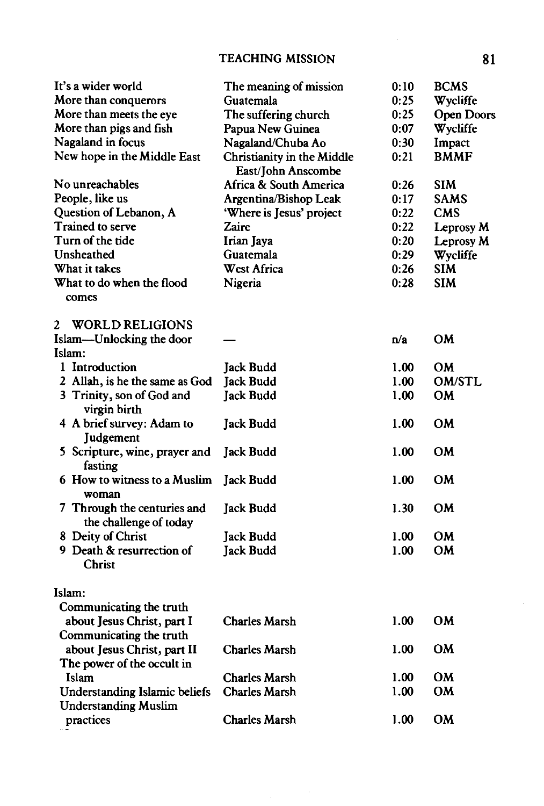# TEACHING MISSION 81

| It's a wider world                                           | The meaning of mission                           | 0:10 | <b>BCMS</b>       |
|--------------------------------------------------------------|--------------------------------------------------|------|-------------------|
| More than conquerors                                         | Guatemala                                        | 0:25 | Wycliffe          |
| More than meets the eye                                      | The suffering church                             | 0:25 | <b>Open Doors</b> |
| More than pigs and fish                                      | Papua New Guinea                                 | 0:07 | Wycliffe          |
| Nagaland in focus                                            | Nagaland/Chuba Ao                                | 0:30 | Impact            |
| New hope in the Middle East                                  | Christianity in the Middle<br>East/John Anscombe | 0:21 | <b>BMMF</b>       |
| No unreachables                                              | Africa & South America                           | 0:26 | <b>SIM</b>        |
| People, like us                                              | Argentina/Bishop Leak                            | 0:17 | SAMS              |
| Question of Lebanon, A                                       | 'Where is Jesus' project                         | 0:22 | CMS               |
| Trained to serve                                             | Zaire                                            | 0:22 | Leprosy M         |
| Turn of the tide                                             | Irian Jaya                                       | 0:20 | Leprosy M         |
| Unsheathed                                                   | Guatemala                                        | 0:29 | Wycliffe          |
| What it takes                                                | <b>West Africa</b>                               | 0:26 | SIM               |
| What to do when the flood<br>comes                           | Nigeria                                          | 0:28 | SIM               |
| <b>WORLD RELIGIONS</b><br>2                                  |                                                  |      |                   |
| Islam-Unlocking the door                                     |                                                  | n/a  | OМ                |
| Islam:                                                       |                                                  |      |                   |
| 1 Introduction                                               | Jack Budd                                        | 1.00 | <b>OM</b>         |
| 2 Allah, is he the same as God                               | <b>Jack Budd</b>                                 | 1.00 | <b>OM/STL</b>     |
| 3 Trinity, son of God and<br>virgin birth                    | <b>Jack Budd</b>                                 | 1.00 | OM                |
| 4 A brief survey: Adam to<br>Judgement                       | Jack Budd                                        | 1.00 | OМ                |
| 5 Scripture, wine, prayer and<br>fasting                     | <b>Jack Budd</b>                                 | 1.00 | OM                |
| 6 How to witness to a Muslim<br>woman                        | <b>Jack Budd</b>                                 | 1.00 | OM                |
| 7 Through the centuries and<br>the challenge of today        | Jack Budd                                        | 1.30 | <b>OM</b>         |
| 8 Deity of Christ                                            | Jack Budd                                        | 1.00 | OM                |
| 9 Death & resurrection of<br><b>Christ</b>                   | <b>Jack Budd</b>                                 | 1.00 | <b>OM</b>         |
| Islam:                                                       |                                                  |      |                   |
| Communicating the truth                                      |                                                  |      |                   |
| about Jesus Christ, part I                                   | <b>Charles Marsh</b>                             | 1.00 | <b>OM</b>         |
| Communicating the truth                                      |                                                  |      |                   |
| about Jesus Christ, part II                                  | <b>Charles Marsh</b>                             | 1.00 | OM                |
| The power of the occult in                                   |                                                  |      |                   |
| Islam                                                        | Charles Marsh                                    | 1.00 | OМ                |
| Understanding Islamic beliefs<br><b>Understanding Muslim</b> | <b>Charles Marsh</b>                             | 1.00 | OM                |
| practices                                                    | Charles Marsh                                    | 1.00 | OM                |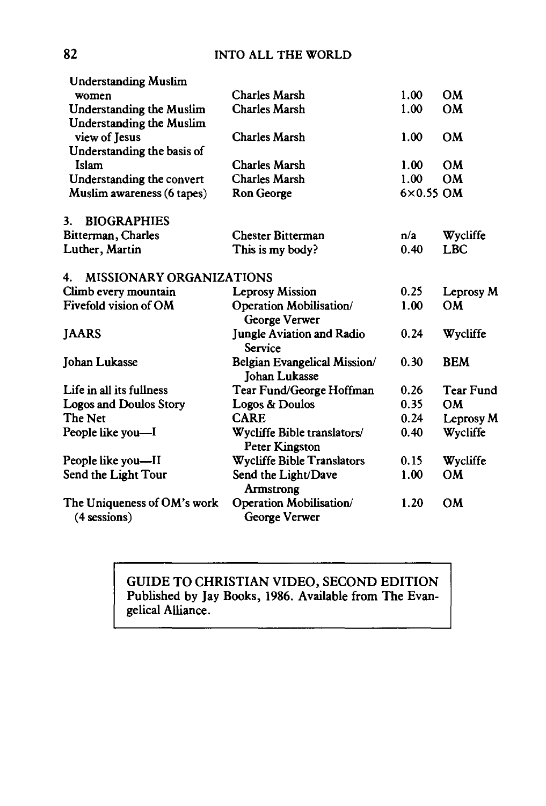| <b>Understanding Muslim</b>           |                                                      |                  |                  |
|---------------------------------------|------------------------------------------------------|------------------|------------------|
| women                                 | Charles Marsh                                        | 1.00             | <b>OM</b>        |
| <b>Understanding the Muslim</b>       | Charles Marsh                                        | 1.00             | <b>OM</b>        |
| Understanding the Muslim              |                                                      |                  |                  |
| view of Jesus                         | Charles Marsh                                        | 1.00             | <b>OM</b>        |
| Understanding the basis of            |                                                      |                  |                  |
| Islam                                 | Charles Marsh                                        | 1.00             | OM               |
| Understanding the convert             | <b>Charles Marsh</b>                                 | 1.00             | <b>OM</b>        |
| Muslim awareness (6 tapes)            | Ron George                                           | $6\times0.55$ OM |                  |
| <b>BIOGRAPHIES</b><br>3.              |                                                      |                  |                  |
| Bitterman, Charles                    | <b>Chester Bitterman</b>                             | n/a              | Wycliffe         |
| Luther, Martin                        | This is my body?                                     | 0.40             | <b>LBC</b>       |
| <b>MISSIONARY ORGANIZATIONS</b><br>4. |                                                      |                  |                  |
| Climb every mountain                  | <b>Leprosy Mission</b>                               | 0.25             | Leprosy M        |
| Fivefold vision of OM                 | Operation Mobilisation/                              | 1.00             | OМ               |
|                                       | George Verwer                                        |                  |                  |
| <b>JAARS</b>                          | <b>Jungle Aviation and Radio</b>                     | 0.24             | Wycliffe         |
|                                       | Service                                              |                  |                  |
| Johan Lukasse                         | Belgian Evangelical Mission/                         | 0.30             | <b>BEM</b>       |
|                                       | <b>Johan Lukasse</b>                                 |                  |                  |
| Life in all its fullness              | Tear Fund/George Hoffman                             | 0.26             | <b>Tear Fund</b> |
| <b>Logos and Doulos Story</b>         | Logos & Doulos                                       | 0.35             | <b>OM</b>        |
| The Net                               | <b>CARE</b>                                          | 0.24             | Leprosy M        |
| People like you—I                     | Wycliffe Bible translators/<br><b>Peter Kingston</b> | 0.40             | Wycliffe         |
| People like you—II                    | <b>Wycliffe Bible Translators</b>                    | 0.15             | Wycliffe         |
| Send the Light Tour                   | Send the Light/Dave                                  | 1.00             | <b>OM</b>        |
|                                       | Armstrong                                            |                  |                  |
| The Uniqueness of OM's work           | Operation Mobilisation/                              | 1.20             | <b>OM</b>        |
| (4 sessions)                          | George Verwer                                        |                  |                  |

# GUIDE TO CHRISTIAN VIDEO, SECOND EDITION Published by Jay Books, 1986. Available from The Evangelical Alliance.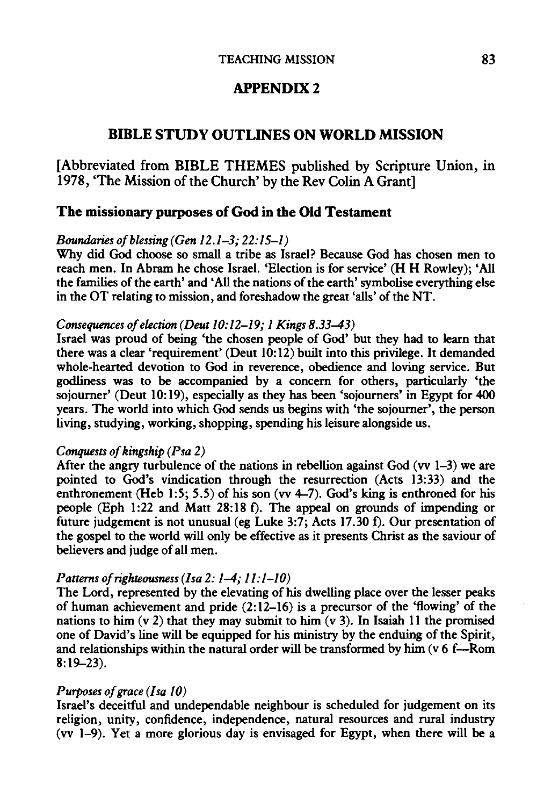# **APPENDIX2**

# **BIBLE STUDY OUTLINES ON WORLD MISSION**

[Abbreviated from BIBLE THEMES published by Scripture Union, in 1978, 'The Mission of the Church' by the Rev Colin A Grant]

# **The missionary purposes of God in the Old Testament**

## *Boundaries of blessing (Gen 12.1-3; 22:15-1)*

Why did God choose so small a tribe as Israel? Because God has chosen men to reach men. In Abram he chose Israel. 'Election is for service' **(H H** Rowley); 'All the families of the earth' and 'All the nations of the earth' symbolise everything else in the OT relating to mission, and foreshadow the great 'ails' of the NT.

### *Consequences of election (Deut 10: 12-19; 1 Kings 8.33-43)*

Israel was proud of being 'the chosen people of God' but they had to learn that there was a clear 'requirement' (Deut  $10:12$ ) built into this privilege. It demanded whole-hearted devotion to God in reverence, obedience and loving service. But godliness was to be accompanied by a concern for others, particularly 'the sojourner' (Deut 10:19), especially as they has been 'sojourners' in Egypt for 400 years. The world into which God sends us begins with 'the sojourner', the person living, studying, working, shopping, spending his leisure alongside us.

#### *Conquests of kingship (Psa 2)*

After the angry turbulence of the nations in rebellion against God (vv  $1-3$ ) we are pointed to God's vindication through the resurrection (Acts 13:33) and the enthronement (Heb 1:5; 5.5) of his son (vv  $4-7$ ). God's king is enthroned for his people (Eph 1:22 and Matt 28:18 f). The appeal on grounds of impending or future judgement is not unusual (eg Luke 3:7; Acts 17.30 f). Our presentation of the gospel to the world will only be effective as it presents Christ as the saviour of believers and judge of all men.

#### *Patterns of righteousness (Isa 2: 1-4; 11:1-10)*

The Lord, represented by the elevating of his dwelling place over the lesser peaks of human achievement and pride  $(2: 12-16)$  is a precursor of the 'flowing' of the nations to him  $(v 2)$  that they may submit to him  $(v 3)$ . In Isaiah 11 the promised one of David's line will be equipped for his ministry by the enduing of the Spirit, and relationships within the natural order will be transformed by him (v 6 f-Rom 8:19-23).

#### *Purposes of grace (I sa 10)*

Israel's deceitful and undependable neighbour is scheduled for judgement on its religion, unity, confidence, independence, natural resources and rural industry (vv 1-9). Yet a more glorious day is envisaged for Egypt, when there will be a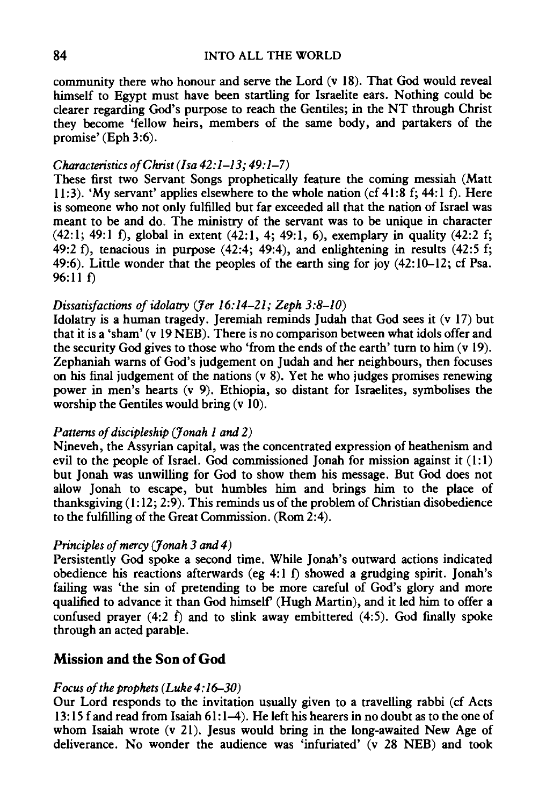community there who honour and serve the Lord (v 18). That God would reveal himself to Egypt must have been startling for Israelite ears. Nothing could be clearer regarding God's purpose to reach the Gentiles; in the NT through Christ they become 'fellow heirs, members of the same body, and partakers of the promise' (Eph 3:6).

## *Characteristics of Christ (/sa 42:1-13; 49:1-7)*

These first two Servant Songs prophetically feature the coming messiah (Matt 11:3). 'My servant' applies elsewhere to the whole nation (cf 41:8 f; 44:1 f). Here is someone who not only fulfilled but far exceeded all that the nation of Israel was meant to be and do. The ministry of the servant was to be unique in character (42:1; 49:1 f), global in extent (42:1, 4; 49:1, 6), exemplary in quality (42:2 f; 49:2 f), tenacious in purpose  $(42:4, 49:4)$ , and enlightening in results  $(42:5 \text{ f};$ 49:6). Little wonder that the peoples of the earth sing for joy (42:10-12; cf Psa. 96:11 f)

## *Dissatisfactions of idolatry (Jer 16:14-21; Zeph 3:8-10)*

Idolatry is a human tragedy. Jeremiah reminds Judah that God sees it (v 17) but that it is a 'sham' (v 19 NEB). There is no comparison between what idols offer and the security God gives to those who 'from the ends of the earth' turn to him (v 19). Zephaniah warns of God's judgement on Judah and her neighbours, then focuses on his final judgement of the nations (v 8). Yet he who judges promises renewing power in men's hearts (v 9). Ethiopia, so distant for Israelites, symbolises the worship the Gentiles would bring (v 10).

#### *Patterns of discipleship (Jonah 1 and 2)*

Nineveh, the Assyrian capital, was the concentrated expression of heathenism and evil to the people of Israel. God commissioned Jonah for mission against it  $(1:1)$ but Jonah was unwilling for God to show them his message. But God does not allow Jonah to escape, but humbles him and brings him to the place of thanksgiving  $(1: 12; 2: 9)$ . This reminds us of the problem of Christian disobedience to the fulfilling of the Great Commission. (Rom 2:4).

## *Principles of mercy (Jonah 3 and 4)*

Persistently God spoke a second time. While Jonah's outward actions indicated obedience his reactions afterwards (eg 4:1 f) showed a grudging spirit. Jonah's failing was 'the sin of pretending to be more careful of God's glory and more qualified to advance it than God himself' (Hugh Martin), and it led him to offer a confused prayer  $(4:2 \t{f})$  and to slink away embittered  $(4:5)$ . God finally spoke through an acted parable.

# **Mission and the Son of God**

#### *Focus of the prophets (Luke 4:16-30)*

Our Lord responds to the invitation usually given to a travelling rabbi (cf Acts 13: 15 f and read from Isaiah 61: 1-4). He left his hearers in no doubt as to the one of whom Isaiah wrote (v 21). Jesus would bring in the long-awaited New Age of deliverance. No wonder the audience was 'infuriated' (v 28 NEB) and took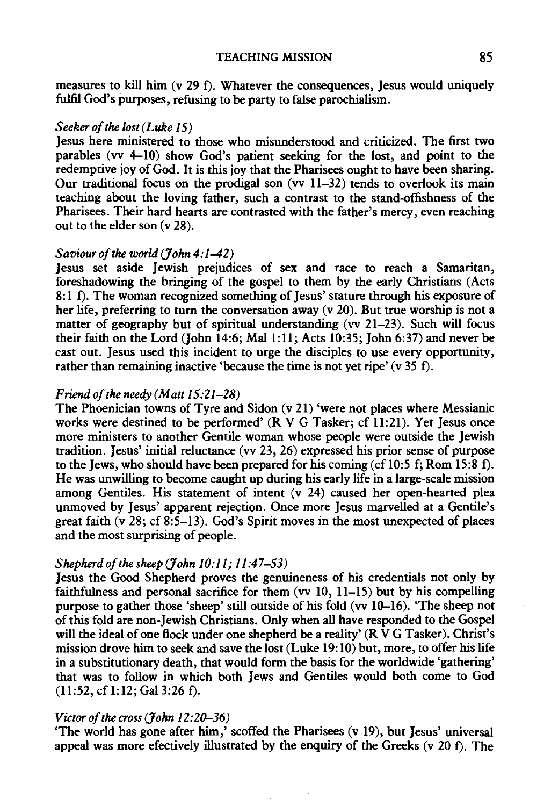## TEACHING MISSION 85

measures to kill him (y 29 f). Whatever the consequences, Jesus would uniquely fulfil God's purposes, refusing to be party to false parochialism.

#### *Seeker of the lost (Luke 15)*

Jesus here ministered to those who misunderstood and criticized. The first two parables (vv 4-10) show God's patient seeking for the lost, and point to the redemptive joy of God. It is this joy that the Pharisees ought to have been sharing. Our traditional focus on the prodigal son (vv  $11-32$ ) tends to overlook its main teaching about the loving father, such a contrast to the stand-offishness of the Pharisees. Their hard hearts are contrasted with the father's mercy, even reaching out to the elder son (v 28).

## *Saviour of the world (fohn 4:1-42)*

Jesus set aside Jewish prejudices of sex and race to reach a Samaritan, foreshadowing the bringing of the gospel to them by the early Christians (Acts 8:1 f). The woman recognized something of Jesus' stature through his exposure of her life, preferring to turn the conversation away (v 20). But true worship is not a matter of geography but of spiritual understanding (vv 21-23). Such will focus their faith on the Lord (John 14:6; Mal  $1:11$ ; Acts 10:35; John 6:37) and never be cast out. Jesus used this incident to urge the disciples to use every opportunity, rather than remaining inactive 'because the time is not yet ripe' (v 35 f).

#### *Friend of the needy (Matt 15:21-28)*

The Phoenician towns of Tyre and Sidon (v 21) 'were not places where Messianic works were destined to be performed' (RV G Tasker; cf 11:21). Yet Jesus once more ministers to another Gentile woman whose people were outside the Jewish tradition. Jesus' initial reluctance (vv 23, 26) expressed his prior sense of purpose to the Jews, who should have been prepared for his coming (cf 10:5 f; Rom 15:8 f). He was unwilling to become caught up during his early life in a large-scale mission among Gentiles. His statement of intent (v 24) caused her open-hearted plea unmoved by Jesus' apparent rejection. Once more Jesus marvelled at a Gentile's great faith (v 28; cf  $8:5-13$ ). God's Spirit moves in the most unexpected of places and the most surprising of people.

#### *Shepherd of the sheep (fohn 10:11; 11:47-53)*

Jesus the Good Shepherd proves the genuineness of his credentials not only by faithfulness and personal sacrifice for them (vv 10, 11-15) but by his compelling purpose to gather those 'sheep' still outside of his fold (vv 10-16). 'The sheep not ofthis fold are non-Jewish Christians. Only when all have responded to the Gospel will the ideal of one flock under one shepherd be a reality' ( $R\bar{V}G$  Tasker). Christ's mission drove him to seek and save the lost (Luke 19: 10) but, more, to offer his life in a substitutionary death, that would form the basis for the worldwide 'gathering' that was to follow in which both Jews and Gentiles would both come to God  $(11:52, cf1:12; Gal3:26 f).$ 

## *Victor of the cross (John 12:20-36)*

'The world has gone after him,' scoffed the Pharisees (v 19), but Jesus' universal appeal was more efectively illustrated by the enquiry of the Greeks (v  $20 \text{ f}$ ). The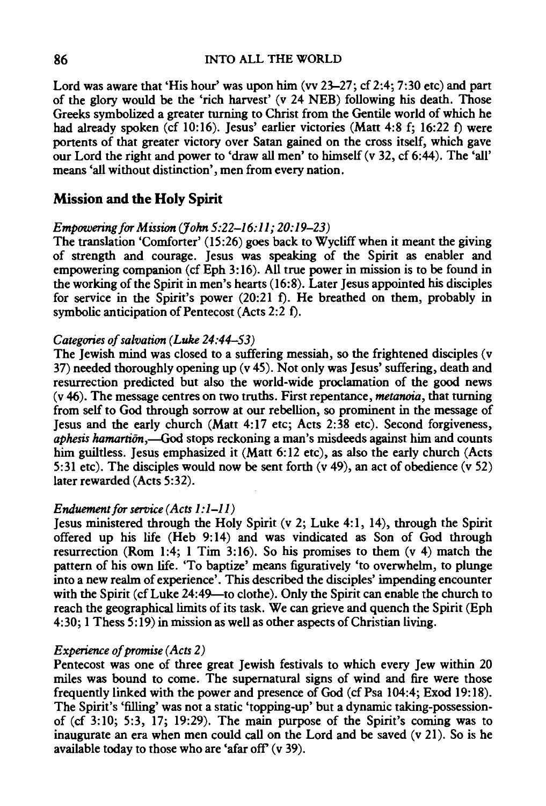Lord was aware that 'His hour' was upon him (vv *23-27;* cf 2:4; 7:30 etc) and part of the glory would be the 'rich harvest' (v *24* NEB) following his death. Those Greeks symbolized a greater turning to Christ from the Gentile world of which he had already spoken (cf 10:16). Jesus' earlier victories (Matt 4:8 f; *16:22* f) were portents of that greater victory over Satan gained on the cross itself, which gave our Lord the right and power to 'draw all men' to himself (v 32, cf 6:44). The 'all' means 'all without distinction', men from every nation.

## **Mission and the Holy Spirit**

## *Empowering for Mission (John 5:22-16:11; 20:19-23)*

The translation 'Comforter' (15:26) goes back to Wycliff when it meant the giving of strength and courage. Jesus was speaking of the Spirit as enabler and empowering companion (cf Eph 3:16). All true power in mission is to be found in the working of the Spirit in men's hearts (16:8). Later Jesus appointed his disciples for service in the Spirit's power (20:21 f). He breathed on them, probably in symbolic anticipation of Pentecost (Acts *2:2* f).

#### *Categories of salvation (Luke 24:44-53)*

The Jewish mind was closed to a suffering messiah, so the frightened disciples (v 37) needed thoroughly opening up (v 45). Not only was Jesus' suffering, death and resurrection predicted but also the world-wide proclamation of the good news (v 46). The message centres on two truths. First repentance, *metanoia,* that turning from self to God through sorrow at our rebellion, so prominent in the message of Jesus and the early church (Matt 4:17 etc; Acts 2:38 etc). Second forgiveness, *aphesis hamartion*,—God stops reckoning a man's misdeeds against him and counts him guiltless. Jesus emphasized it (Matt 6:12 etc), as also the early church (Acts 5:31 etc). The disciples would now be sent forth (v 49), an act of obedience (v 52) later rewarded (Acts 5:32).

## *Enduement for service (Acts 1:1-11)*

Jesus ministered through the Holy Spirit (v 2; Luke 4:1, 14), through the Spirit offered up his life (Heb 9:14) and was vindicated as Son of God through resurrection (Rom 1:4; 1 Tim 3:16). So his promises to them (v 4) match the pattern of his own life. 'To baptize' means figuratively 'to overwhelm, to plunge into a new realm of experience'. This described the disciples' impending encounter with the Spirit (cf Luke 24:49—to clothe). Only the Spirit can enable the church to reach the geographical limits of its task. We can grieve and quench the Spirit (Eph 4:30; 1 Thess 5: 19) in mission as well as other aspects of Christian living.

## *Experience of promise (Acts 2)*

Pentecost was one of three great Jewish festivals to which every Jew within 20 miles was bound to come. The supernatural signs of wind and fire were those frequently linked with the power and presence of God (cfPsa 104:4; Exod 19:18). The Spirit's 'filling' was not a static 'topping-up' but a dynamic taking-possessionof (cf 3:10; 5:3, 17; 19:29). The main purpose of the Spirit's coming was to inaugurate an era when men could call on the Lord and be saved (v 21). So is he available today to those who are 'afar off (v 39).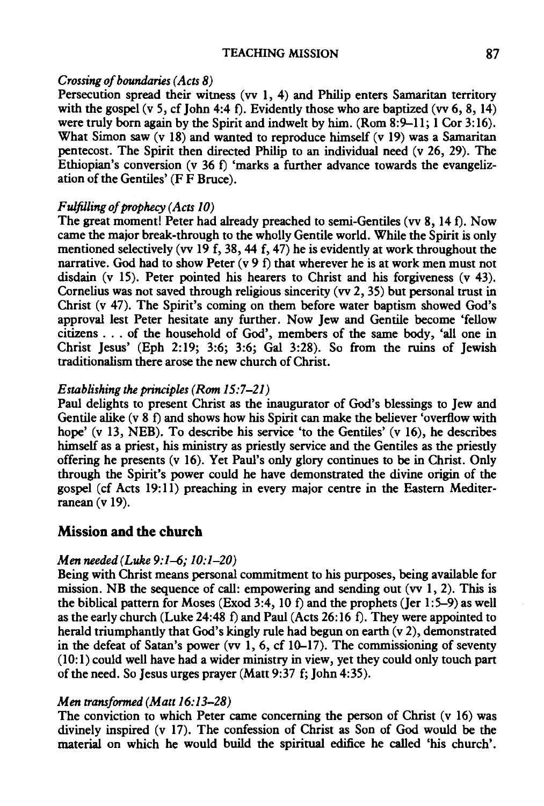#### TEACHING MISSION 87

## *Crossing of boundaries (Acts 8)*

Persecution spread their witness (vv 1, 4) and Philip enters Samaritan territory with the gospel (v 5, cf John 4:4 f). Evidently those who are baptized (vv 6, 8, 14) were truly born again by the Spirit and indwelt by him. (Rom 8:9-11; 1 Cor 3:16). What Simon saw  $(v \ 18)$  and wanted to reproduce himself  $(v \ 19)$  was a Samaritan pentecost. The Spirit then directed Philip to an individual need (v 26, 29). The Ethiopian's conversion (v 36 f) 'marks a further advance towards the evangelization of the Gentiles' (F F Bruce).

## *Fulfilling of prophecy (Acts 10)*

The great moment! Peter had already preached to semi-Gentiles (vv 8, 14 f). Now came the major break-through to the wholly Gentile world. While the Spirit is only mentioned selectively (vv 19 f, 38, 44 f, 47) he is evidently at work throughout the narrative. God had to show Peter  $(v 9 f)$  that wherever he is at work men must not disdain (v 15). Peter pointed his hearers to Christ and his forgiveness (v 43). Cornelius was not saved through religious sincerity (vv 2, 35) but personal trust in Christ (v 47). The Spirit's coming on them before water baptism showed God's approval lest Peter hesitate any further. Now Jew and Gentile become 'fellow citizens ... of the household of God', members of the same body, 'all one in Christ Jesus' (Eph  $2:19$ ;  $3:6$ ;  $3:6$ ; Gal  $3:28$ ). So from the ruins of Jewish traditionalism there arose the new church of Christ.

## *Establishing the principles (Rom 15:7-21)*

Paul delights to present Christ as the inaugurator of God's blessings to Jew and Gentile alike (v 8 f) and shows how his Spirit can make the believer 'overflow with hope' (v 13, NEB). To describe his service 'to the Gentiles' (v 16), he describes himself as a priest, his ministry as priestly service and the Gentiles as the priestly offering he presents (v 16). Yet Paul's only glory continues to be in Christ. Only through the Spirit's power could he have demonstrated the divine origin of the gospel (cf Acts 19:11) preaching in every major centre in the Eastern Mediterranean (v 19).

## **Mission and the church**

## *Men needed (Luke 9: 1-6; 10: 1-20)*

Being with Christ means personal commitment to his purposes, being available for mission. NB the sequence of call: empowering and sending out (vv 1, 2). This is the biblical pattern for Moses (Exod 3:4, 10 f) and the prophets (Jer 1:5-9) as well as the early church (Luke 24:48 f) and Paul (Acts 26:16 f). They were appointed to herald triumphantly that God's kingly rule had begun on earth (v 2), demonstrated in the defeat of Satan's power (vv  $\overline{1}$ , 6, cf 10-17). The commissioning of seventy (10:1) could well have had a wider ministry in view, yet they could only touch part of the need. So Jesus urges prayer (Matt 9:37 f; John 4:35).

## *Men transformed (Matt 16: 13-28)*

The conviction to which Peter came concerning the person of Christ (v 16) was divinely inspired (v 17). The confession of Christ as Son of God would be the material on which he would build the spiritual edifice he called 'his church'.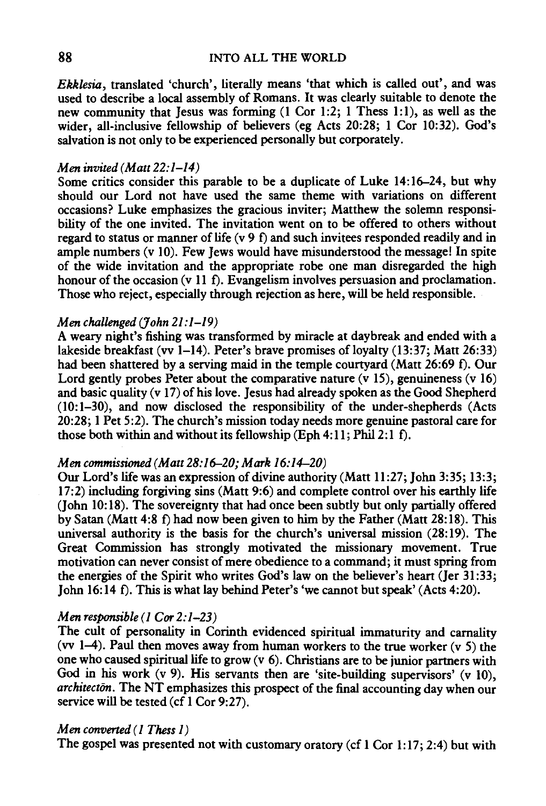*Ekklesia,* translated 'church', literally means 'that which is called out', and was used to describe a local assembly of Romans. It was clearly suitable to denote the new community that Jesus was forming (1 Cor 1:2; 1 Thess 1:1), as well as the wider, all-inclusive fellowship of believers (eg Acts 20:28; 1 Cor 10:32). God's salvation is not only to be experienced personally but corporately.

#### *Men invited (Matt 22:1-14)*

Some critics consider this parable to be a duplicate of Luke 14:16-24, but why should our Lord not have used the same theme with variations on different occasions? Luke emphasizes the gracious inviter; Matthew the solemn responsibility of the one invited. The invitation went on to be offered to others without regard to status or manner of life (v 9 f) and such invitees responded readily and in ample numbers (v 10). Few Jews would have misunderstood the message! In spite of the wide invitation and the appropriate robe one man disregarded the high honour of the occasion (v 11 f). Evangelism involves persuasion and proclamation. Those who reject, especially through rejection as here, will be held responsible.

## *Men challenged (John 21 :1-19)*

A weary night's fishing was transformed by miracle at daybreak and ended with a lakeside breakfast (vv 1-14). Peter's brave promises of loyalty (13:37; Matt 26:33) had been shattered by a serving maid in the temple courtyard (Matt *26:69* f). Our Lord gently probes Peter about the comparative nature  $(v 15)$ , genuineness  $(v 16)$ and basic quality (v 17) of his love. Jesus had already spoken as the Good Shepherd (10: 1-30), and now disclosed the responsibility of the under-shepherds (Acts 20:28; 1 Pet 5:2). The church's mission today needs more genuine pastoral care for those both within and without its fellowship (Eph 4:11; Phil 2:1 f).

#### *Men commissioned (Matt 28:16-20; Mark 16:14-20)*

Our Lord's life was an expression of divine authority (Matt *11:27;* John 3:35; 13:3; 17:2) including forgiving sins (Matt 9:6) and complete control over his earthly life (John 10:18). The sovereignty that had once been subtly but only partially offered by Satan (Matt 4:8 f) had now been given to him by the Father (Matt 28:18). This universal authority is the basis for the church's universal mission (28:19). The Great Commission has strongly motivated the missionary movement. True motivation can never consist of mere obedience to a command; it must spring from the energies of the Spirit who writes God's law on the believer's heart (Jer 31:33; John 16:14 f). This is what lay behind Peter's 'we cannot but speak' (Acts 4:20).

#### *Men responsible (1 Cor 2:1-23)*

The cult of personality in Corinth evidenced spiritual immaturity and carnality (vv 1-4). Paul then moves away from human workers to the true worker  $(v 5)$  the one who caused spiritual life to grow (v 6). Christians are to be junior partners with God in his work (v 9). His servants then are 'site-building supervisors' (v 10), *architecton*. The NT emphasizes this prospect of the final accounting day when our service will be tested (cf l Cor *9:27).* 

## *M en converted ( 1 Thess 1)*

The gospel was presented not with customary oratory (cf 1 Cor 1:17; 2:4) but with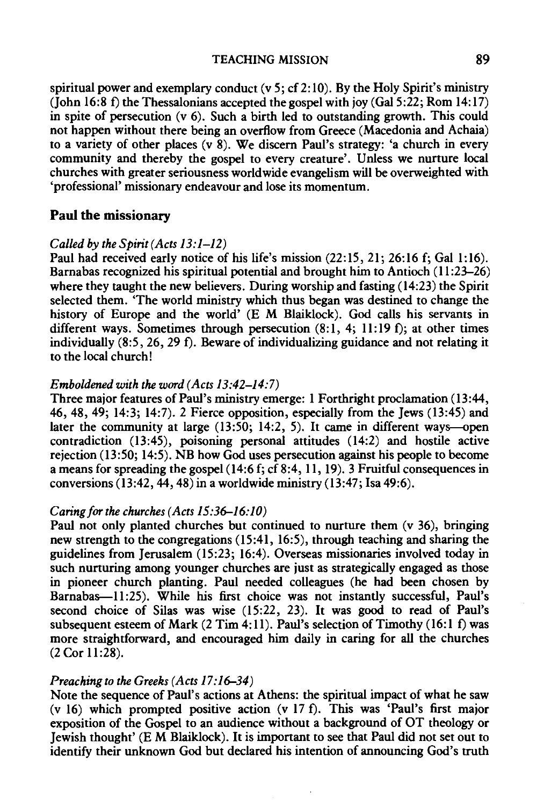spiritual power and exemplary conduct (v 5; cf 2: 10). By the Holy Spirit's ministry (John 16:8 f) the Thessalonians accepted the gospel with joy (Gal 5:22; Rom 14:17) in spite of persecution (v 6). Such a birth led to outstanding growth. This could not happen without there being an overflow from Greece (Macedonia and Achaia) to a variety of other places  $(v\bar{8})$ . We discern Paul's strategy: 'a church in every community and thereby the gospel to every creature'. Unless we nurture local churches with greater seriousness worldwide evangelism will be overweighted with 'professional' missionary endeavour and lose its momentum.

## **Paul** the missionary

#### *Called by the Spirit (Acts 13:1-12)*

Paul had received early notice of his life's mission (22:15, 21; 26:16 f; Gal 1:16). Barnabas recognized his spiritual potential and brought him to Antioch ( 11 :23-26) where they taught the new believers. During worship and fasting (14:23) the Spirit selected them. 'The world ministry which thus began was destined to change the history of Europe and the world' (E M Blaiklock). God calls his servants in different ways. Sometimes through persecution (8:1, 4; 11:19 f); at other times individually (8:5, 26, 29 f). Beware of individualizing guidance and not relating it to the local church!

#### *Emboldened with the word (Acts 13:42-14:7)*

Three major features of Paul's ministry emerge: 1 Forthright proclamation (13:44, 46, 48, 49; 14:3; 14:7). 2 Fierce opposition, especially from the Jews (13:45) and later the community at large (13:50; 14:2, 5). It came in different ways--open contradiction (13:45), poisoning personal attitudes (14:2) and hostile active rejection (13:50; 14:5). NB how God uses persecution against his people to become a means for spreading the gospel (14:6 f; cf 8:4, 11, 19). 3 Fruitful consequences in conversions (13:42, 44, 48) in a worldwide ministry (13:47; Isa 49:6).

#### *Caring for the churches (Acts 15:36-16:10)*

Paul not only planted churches but continued to nurture them (v 36), bringing new strength to the congregations (15:41, 16:5), through teaching and sharing the guidelines from Jerusalem (15:23; 16:4). Overseas missionaries involved today in such nurturing among younger churches are just as strategically engaged as those in pioneer church planting. Paul needed colleagues (he had been chosen by Barnabas--11:25). While his first choice was not instantly successful, Paul's second choice of Silas was wise (15:22, 23). It was good to read of Paul's subsequent esteem of Mark  $(2 Tim 4:11)$ . Paul's selection of Timothy  $(16:1 f)$  was more straightforward, and encouraged him daily in caring for all the churches (2 Cor 11 :28).

#### *Preaching to the Greeks (Acts 17:16-34)*

Note the sequence of Paul's actions at Athens: the spiritual impact of what he saw (v 16) which prompted positive action (v 17 f). This was 'Paul's first major exposition of the Gospel to an audience without a background of OT theology or Jewish thought' (EM Blaiklock). It is important to see that Paul did not set out to identify their unknown God but declared his intention of announcing God's truth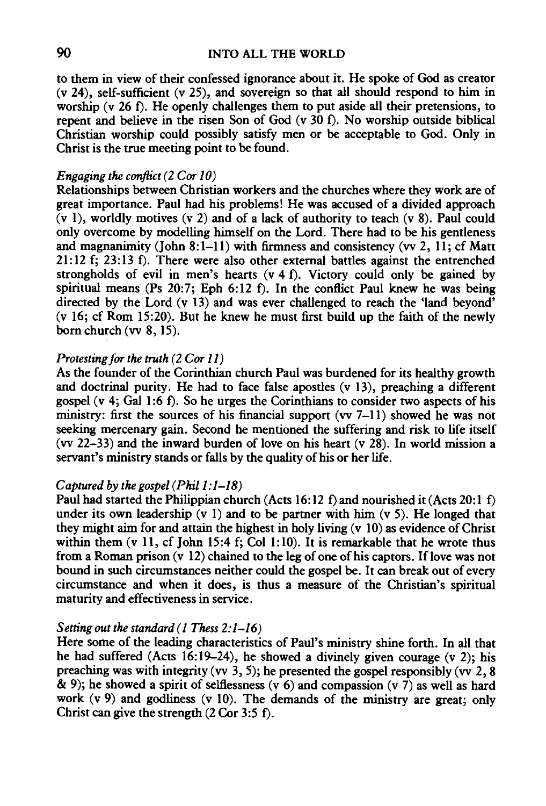to them in view of their confessed ignorance about it. He spoke of God as creator (v 24), self-sufficient (v 25), and sovereign so that all should respond to him in worship (v 26 f). He openly challenges them to put aside all their pretensions, to repent and believe in the risen Son of God (v 30 f). No worship outside biblical Christian worship could possibly satisfy men or be acceptable to God. Only in Christ is the true meeting point to be found.

#### *Engaging the conflict (2 Cor 10)*

Relationships between Christian workers and the churches where they work are of great importance. Paul had his problems! He was accused of a divided approach (v 1), worldly motives (v 2) and of a lack of authority to teach (v 8). Paul could only overcome by modelling himself on the Lord. There had to be his gentleness and magnanimity (John 8:1-11) with firmness and consistency (vv 2, 11; cf Matt 21:12 f; 23:13 f). There were also other external battles against the entrenched strongholds of evil in men's hearts (v 4 f). Victory could only be gained by spiritual means (Ps 20:7; Eph 6:12 f). In the conflict Paul knew he was being directed by the Lord (v 13) and was ever challenged to reach the 'land beyond' (v 16; cf Rom 15:20). But he knew he must first build up the faith of the newly born church (vv 8, 15).

## *Protesting for the truth (2 Cor 11)*

As the founder of the Corinthian church Paul was burdened for its healthy growth and doctrinal purity. He had to face false apostles (v 13), preaching a different gospel  $(v 4; Gal 1:6 f)$ . So he urges the Corinthians to consider two aspects of his ministry: first the sources of his financial support (vv  $7-11$ ) showed he was not seeking mercenary gain. Second he mentioned the suffering and risk to life itself (vv 22-33) and the inward burden of love on his heart (v 28). In world mission a servant's ministry stands or falls by the quality of his or her life.

## *Captured by the gospel (Phil1 :1-18)*

Paul had started the Philippian church (Acts 16:12 f) and nourished it (Acts 20:1 f) under its own leadership  $(v 1)$  and to be partner with him  $(v 5)$ . He longed that they might aim for and attain the highest in holy living (v 10) as evidence of Christ within them (y 11, cf John 15:4 f; Col 1:10). It is remarkable that he wrote thus from a Roman prison  $(v\ 12)$  chained to the leg of one of his captors. If love was not bound in such circumstances neither could the gospel be. It can break out of every circumstance and when it does, is thus a measure of the Christian's spiritual maturity and effectiveness in service.

#### *Setting out the standard ( 1 Thess 2:1-16)*

Here some of the leading characteristics of Paul's ministry shine forth. In all that he had suffered (Acts 16:19-24), he showed a divinely given courage (v 2); his preaching was with integrity (vv  $3, 5$ ); he presented the gospel responsibly (vv  $2, 8$  $\&$  9); he showed a spirit of selflessness (v 6) and compassion (v 7) as well as hard work  $(v 9)$  and godliness  $(v 10)$ . The demands of the ministry are great; only Christ can give the strength (2 Cor 3:5 f).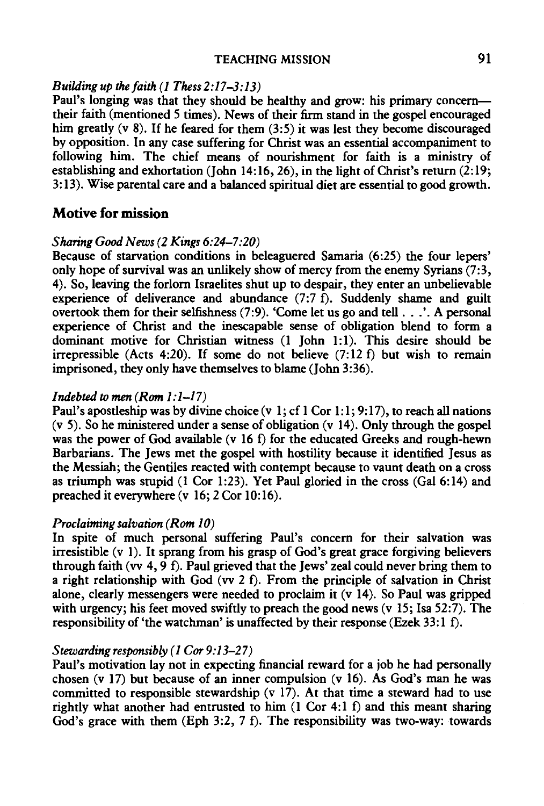## TEACHING MISSION 91

## *Building up the faith (1 Thess 2:17-3: 13)*

Paul's longing was that they should be healthy and grow: his primary concerntheir faith (mentioned 5 times). News of their firm stand in the gospel encouraged him greatly (v 8). If he feared for them (3:5) it was lest they become discouraged by opposition. In any case suffering for Christ was an essential accompaniment to following him. The chief means of nourishment for faith is a ministry of establishing and exhortation (John 14:16, 26), in the light of Christ's return (2:19; 3:13). Wise parental care and a balanced spiritual diet are essential to good growth.

## Motive for mission

#### *Sharing Good News (2 Kings 6:24-7:20)*

Because of starvation conditions in beleaguered Samaria (6:25) the four lepers' only hope of survival was an unlikely show of mercy from the enemy Syrians  $(7:3, 1)$ 4). So, leaving the forlorn Israelites shut up to despair, they enter an unbelievable experience of deliverance and abundance  $(7:7 \text{ f})$ . Suddenly shame and guilt overtook them for their selfishness (7:9). 'Come let us go and tell ... '. A personal experience of Christ and the inescapable sense of obligation blend to form a dominant motive for Christian witness (1 John 1:1). This desire should be irrepressible (Acts 4:20). If some do not believe  $(7:12 \text{ f})$  but wish to remain imprisoned, they only have themselves to blame (John 3:36).

#### *Indebted to men (Rom 1:1-17)*

Paul's apostleship was by divine choice (v 1; cf 1 Cor 1:1; 9:17), to reach all nations (v 5). So he ministered under a sense of obligation (v 14). Only through the gospel was the power of God available (v 16 f) for the educated Greeks and rough-hewn Barbarians. The Jews met the gospel with hostility because it identified Jesus as the Messiah; the Gentiles reacted with contempt because to vaunt death on a cross as triumph was stupid (1 Cor 1:23). Yet Paul gloried in the cross (Gal 6:14) and preached it everywhere (v 16; 2 Cor 10: 16).

#### *Proclaiming salvation (Rom 10)*

In spite of much personal suffering Paul's concern for their salvation was irresistible (v 1). It sprang from his grasp of God's great grace forgiving believers through faith (vv  $4$ ,  $9$  f). Paul grieved that the Jews' zeal could never bring them to a right relationship with God (vv 2 f). From the principle of salvation in Christ alone, clearly messengers were needed to proclaim it (v 14). So Paul was gripped with urgency; his feet moved swiftly to preach the good news (v 15; Isa 52:7). The responsibility of 'the watchman' is unaffected by their response (Ezek 33:1 f).

## *Stewarding responsibly ( 1 Cor 9:13-27)*

Paul's motivation lay not in expecting financial reward for a job he had personally chosen (v 17) but because of an inner compulsion (v 16). As God's man he was committed to responsible stewardship  $(v\ 17)$ . At that time a steward had to use rightly what another had entrusted to him  $(1 \text{ Cor } 4:1 \text{ f})$  and this meant sharing God's grace with them (Eph 3:2, 7 f). The responsibility was two-way: towards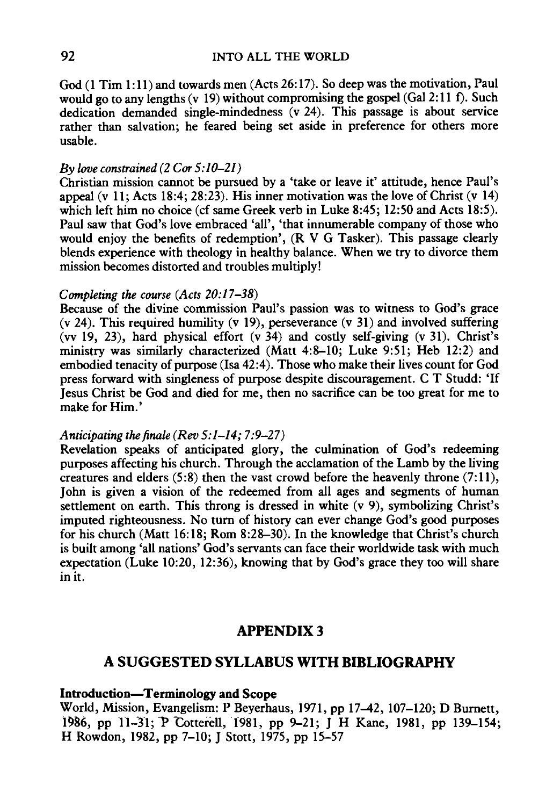God (1 Tim 1:11) and towards men (Acts 26:17). So deep was the motivation, Paul would go to any lengths (v 19) without compromising the gospel (Gal 2:11 f). Such dedication demanded single-mindedness (v 24). This passage is about service rather than salvation; he feared being set aside in preference for others more usable.

#### *By love constrained (2 Cor 5:10-21)*

Christian mission cannot be pursued by a 'take or leave it' attitude, hence Paul's appeal (v 11; Acts 18:4; 28:23). His inner motivation was the love of Christ (v 14) which left him no choice (cf same Greek verb in Luke 8:45; 12:50 and Acts 18:5). Paul saw that God's love embraced 'all', 'that innumerable company of those who would enjoy the benefits of redemption', (R V G Tasker). This passage clearly blends experience with theology in healthy balance. When we try to divorce them mission becomes distorted and troubles multiply!

#### *Completing the course (Acts 20:17-38)*

Because of the divine commission Paul's passion was to witness to God's grace (v 24). This required humility (v 19), perseverance (v 31) and involved suffering (vv 19, 23), hard physical effort  $(v\overline{34})$  and costly self-giving  $(v\overline{31})$ . Christ's ministry was similarly characterized (Matt 4:8-10; Luke 9:51; Heb 12:2) and embodied tenacity of purpose (lsa 42:4). Those who make their lives count for God press forward with singleness of purpose despite discouragement. C T Studd: 'If Jesus Christ be God and died for me, then no sacrifice can be too great for me to make for Him.'

#### *Anticipating the finale (Rev 5:1-14; 7:9-27)*

Revelation speaks of anticipated glory, the culmination of God's redeeming purposes affecting his church. Through the acclamation of the Lamb by the living creatures and elders  $(5:8)$  then the vast crowd before the heavenly throne  $(7:11)$ , John is given a vision of the redeemed from all ages and segments of human settlement on earth. This throng is dressed in white (v 9), symbolizing Christ's imputed righteousness. No turn of history can ever change God's good purposes for his church (Matt 16:18; Rom 8:28-30). In the knowledge that Christ's church is built among 'all nations' God's servants can face their worldwide task with much expectation (Luke 10:20, 12:36), knowing that by God's grace they too will share in it.

## APPENDIX3

## A SUGGESTED SYLLABUS WITH BIBLIOGRAPHY

## Introduction-Terminology and Scope

World, Mission, Evangelism: P Beyerhaus, 1971, pp 17-42, 107-120; D Bumett, 1986, pp 11-31; P Cotterell, 1981, pp 9-21; J H Kane, 1981, pp 139-154; H Rowdon, 1982, pp 7-10; J Stott, 1975, pp 15-57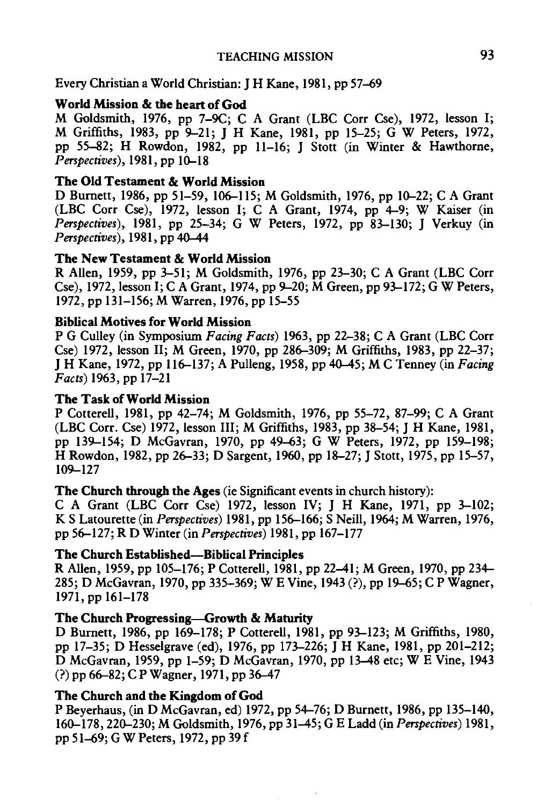## Every Christian a World Christian: J H Kane, 1981, pp 57-69

## World Mission & the heart of God

M Goldsmith, 1976, pp 7-9C; C A Grant (LBC Corr Cse), 1972, lesson I; M Griffiths, 1983, pp 9-21; J H Kane, 1981, pp 15-25; G W Peters, 1972, pp 55-82; H Rowdon, 1982, pp 11-16; J Stott (in Winter & Hawthorne, *Perspectives),* 1981, pp 10-18

## The Old Testament & World Mission

D Burnett, 1986, pp 51–59, 106–115; M Goldsmith, 1976, pp 10–22; C A Grant (LBC Corr Cse), 1972, lesson I; C A Grant, 1974, pp 4-9; W Kaiser (in *Perspectives),* 1981, pp 25-34; G W Peters, 1972, pp 83--130; J Verkuy (in *Perspectives),* 1981, pp 40-44

## The New Testament & World Mission

R Allen, 1959, pp 3–51; M Goldsmith, 1976, pp  $23-30$ ; C A Grant (LBC Corr Cse), 1972, lesson I; C A Grant, 1974, pp 9–20; M Green, pp 93–172; G W Peters, 1972, pp 131-156; M Warren, 1976, pp 15-55

## Biblical Motives for World Mission

PG Culley (in Symposium *Facing Facts)* 1963, pp 22-38; CA Grant (LBC Corr Cse) 1972, lesson II; M Green, 1970, pp 286-309; M Griffiths, 1983, pp 22-37; J H Kane, 1972, pp 116--137; A Pulleng, 1958, pp 40-45; MC Tenney (in *Facing Facts)* 1963, pp 17-21

## The Task of World Mission

P Cotterell, 1981, pp 42-74; M Goldsmith, 1976, pp 55-72, 87-99; C A Grant (LBC Corr. Cse) 1972, lesson Ill; M Griffiths, 1983, pp 38-54; J H Kane, 1981, pp 139-154; D McGavran, 1970, pp 49-63; G W Peters, 1972, pp 159-198; H Rowdon, 1982, pp 26–33; D Sargent, 1960, pp 18–27; J Stott, 1975, pp 15–57, 109-127

## The Church through the Ages (ie Significant events in church history):

C A Grant (LBC Corr Cse) 1972, lesson IV; J H Kane, 1971, pp 3-102; K S Latourette (in *Perspectives)* 1981, pp 156--166; S Neill, 1964; M Warren, 1976, pp 56--127; R D Winter (in *Perspectives)* 1981, pp 167-177

## The Church Established-Biblical Principles

R Allen, 1959, pp 105-176; P Cotterell, 1981, pp 22-41; M Green, 1970, pp 234- 285; D McGavran, 1970, pp 335-369; WE Vine, 1943 (?),pp 19-65; C P Wagner, 1971, pp 161-178

## The Church Progressing-Growth & Maturity

D Burnett, 1986, pp 169-178; P Cotterell, 1981, pp 93-123; M Griffiths, 1980, pp 17-35; D Hesselgrave (ed), 1976, pp 173--226; J H Kane, 1981, pp 201-212; D McGavran, 1959, pp 1-59; D McGavran, 1970, pp 13-48 etc; WE Vine, 1943 (?)pp 66--82; C P Wagner, 1971, pp 36-47

## The Church and the Kingdom of God

P Beyerhaus, (in D McGavran, ed) 1972, pp 54-76; D Burnett, 1986, pp 135-140, 160-178, 220-230; M Goldsmith, 1976, pp 31-45; G E Ladd (in *Perspectives)* 1981, pp 51--69; G W Peters, 1972, pp 39 f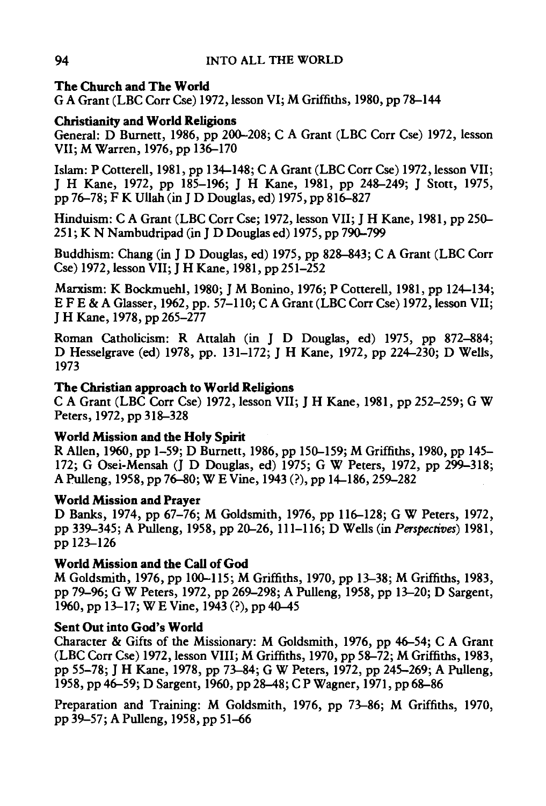# The Church and The World

G A Grant (LBC Corr Cse) 1972, lesson VI; M Griffiths, 1980, pp 78-144

## Christianity and World Religions

General: D Burnett, 1986, pp 200-208; CA Grant (LBC Corr Cse) 1972, lesson VII; M Warren, 1976, pp 136-170

Islam: P Cotterell, 1981, pp 134-148; CA Grant (LBC Corr Cse) 1972, lesson VII; J H Kane, 1972, pp 185-196; J H Kane, 1981, pp 248-249; J Stott, 1975, pp 76-78; F K Ullah (in J D Douglas, ed) 1975, pp 816-827

Hinduism: CA Grant (LBC Corr Cse; 1972, lesson VII; J H Kane, 1981, pp 250- 251; K N Nambudripad (in J D Douglas ed) 1975, pp 790-799

Buddhism: Chang (in J D Douglas, ed) 1975, pp 828-843; CA Grant (LBC Corr Cse) 1972, lesson VII; J H Kane, 1981, pp 251-252

Marxism: K Bockmuehl, 1980; J M Bonino, 1976; P Cotterell, 1981, pp 124-134; E FE & A Glasser, 1962, pp. 57-110; CA Grant (LBC Corr Cse) 1972, lesson VII; J H Kane, 1978, pp 265-277

Roman Catholicism: R Attalah (in J D Douglas, ed) 1975, pp 872-884; D Hesselgrave (ed) 1978, pp. 131-172; J H Kane, 1972, pp 224-230; DWells, 1973

# The Christian approach to World Religions

CA Grant (LBC Corr Cse) 1972, lesson VII; J H Kane, 1981, pp 252-259; G W Peters, 1972, pp 318-328

# World Mission and the Holy Spirit

R Alien, 1960, pp 1-59; D Burnett, 1986, pp 150-159; M Griffiths, 1980, pp 145- 172; G Osei-Mensah (J D Douglas, ed) 1975; G W Peters, 1972, pp 299-318; A Pulleng, 1958, pp 76-80; WE Vine, 1943 (?),pp 14-186,259-282

# World Mission and Prayer

D Banks, 1974, pp 67-76; M Goldsmith, 1976, pp 116-128; G W Peters, 1972, pp 339-345; A Pulleng, 1958, pp 20-26, 111-116; DWells (in *Perspectives)* 1981, pp 123-126

# World Mission and the Call of God

M Goldsmith, 1976, pp 100-115; M Griffiths, 1970, pp 13-38; M Griffiths, 1983, pp 79-96; G W Peters, 1972, pp 269-298; A Pulleng, 1958, pp 13-20; D Sargent, 1960, pp 13–17; W E Vine, 1943 (?), pp 40–45

# Sent Out into God's World

Character & Gifts of the Missionary: M Goldsmith, 1976, pp 46-54; C A Grant (LBC Corr Cse) 1972, lesson VIII; M Griffiths, 1970, pp 58-72; M Griffiths, 1983, pp 55-78; J H Kane, 1978, pp 73-84; G W Peters, 1972, pp 245-269; A Pulleng, 1958, pp 46-59; D Sargent, 1960, pp 28-48; C P Wagner, 1971, pp 68-86

Preparation and Training: M Goldsmith, 1976, pp 73-86; M Griffiths, 1970, pp 39-57; A Pulleng, 1958, pp 51-66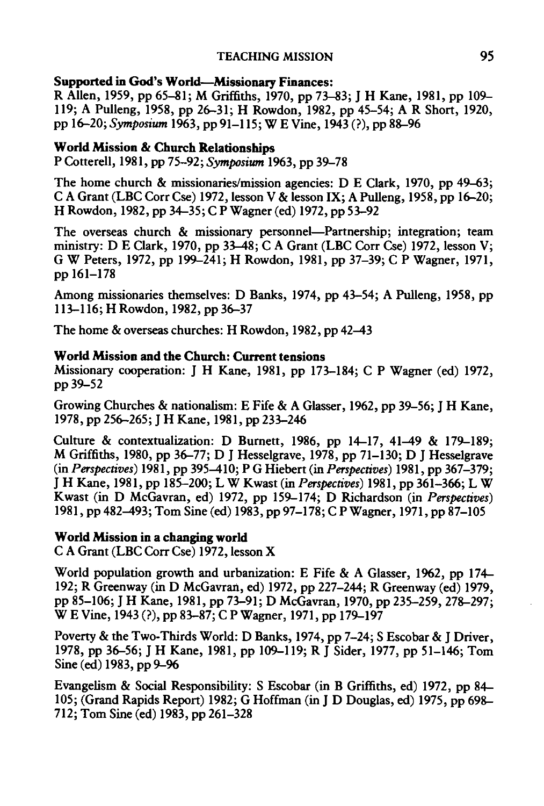## TEACHING MISSION 95

#### Supported in God's World-Missionary Finances:

R Allen, 1959, pp 65-81; M Griffiths, 1970, pp 73-83; J H Kane, 1981, pp 109- 119; A Pulleng, 1958, pp 26-31; H Rowdon, 1982, pp 45-54; A R Short, 1920, pp 16-20; *Symposium* 1963, pp 91-115; WE Vine, 1943 (?),pp 88--96

## World Mission & Church Relationships

P Cotterell, 1981, pp 75-92; *Symposium* 1963, pp 39-78

The home church & missionaries/mission agencies: DE Clark, 1970, pp 49-63; C A Grant (LBC Corr Cse) 1972, lesson V & lesson IX; A Pulleng, 1958, pp 16-20; H Rowdon, 1982, pp 34-35; C P Wagner (ed) 1972, pp 53-92

The overseas church & missionary personnel—Partnership; integration; team ministry: D E Clark, 1970, pp 33-48; C A Grant (LBC Corr Cse) 1972, lesson V; G W Peters, 1972, pp 199-241; H Rowdon, 1981, pp 37-39; C P Wagner, 1971, pp 161-178

Among missionaries themselves: D Banks, 1974, pp 43-54; A Pulleng, 1958, pp 113-116; H Rowdon, 1982, pp 36-37

The home & overseas churches: H Rowdon, 1982, pp 42-43

## World Mission and the Church: Current tensions

Missionary cooperation: I H Kane, 1981, pp 173-184; C P Wagner (ed) 1972, pp39-52

Growing Churches & nationalism: E Fife & A Glasser, 1962, pp 39-56; J H Kane, 1978, pp 256-265; J H Kane, 1981, pp 233-246

Culture & contextualization: D Burnett, 1986, pp 14-17, 41-49 & 179-189; M Griffiths, 1980, pp 36-77; DJ Hesselgrave, 1978, pp 71-130; DJ Hesselgrave (in *Perspectives)* 1981, pp 395-410; PG Hiebert (in *Perspectives)* 1981, pp 367-379; J H Kane, 1981, pp 185-200; LW Kwast (in *Perspectives)* 1981, pp 361-366; LW Kwast (in D McGavran, ed) 1972, pp 159-174; D Richardson (in *Perspectives)*  1981, pp 482-493; Tom Sine (ed) 1983, pp 97-178; C PWagner, 1971, pp 87-105

## World Mission in a changing world

C A Grant (LBC Corr Cse) 1972, lesson X

World population growth and urbanization: E Fife & A Glasser, 1962, pp 174- 192; R Greenway (in D McGavran, ed) 1972, pp 227-244; R Greenway (ed) 1979, pp 85-106; J H Kane, 1981, pp 73-91; D McGavran, 1970, pp 235-259, 278--297; WE Vine, 1943 (?),pp 83-87; C PWagner, 1971, pp 179-197

Poverty & the Two-Thirds World: D Banks, 1974, pp 7-24; S Escobar & J Driver, 1978, pp 36-56; J H Kane, 1981, pp 109-119; R J Sider, 1977, pp 51-146; Tom Sine (ed) 1983, pp 9–96

Evangelism & Social Responsibility: S Escobar (in B Griffiths, ed) 1972, pp 84- 105; (Grand Rapids Report) 1982; G Hoffman (in J D Douglas, ed) 1975, pp 698-- 712; Tom Sine (ed) 1983, pp 261-328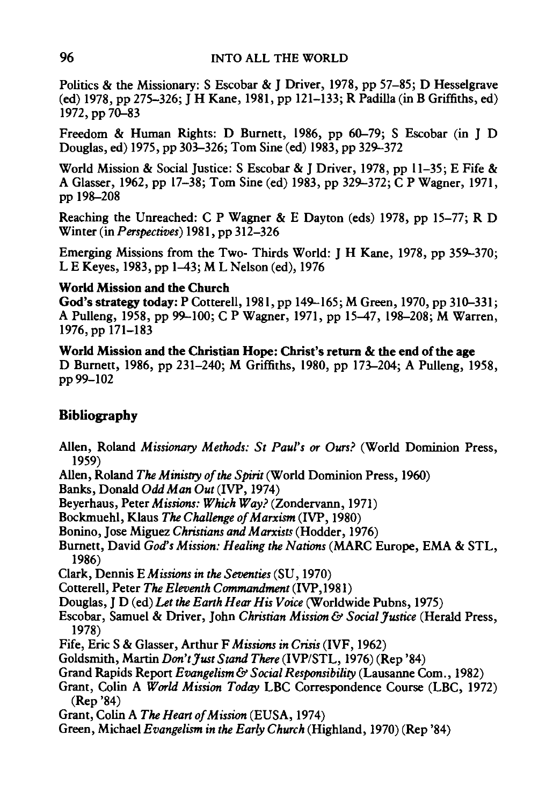Politics & the Missionary: S Escobar & J Driver, 1978, pp 57-85; D Hesselgrave (ed) 1978, pp 275-326; J H Kane, 1981, pp 121-133; R Padilla (in B Griffiths, ed) 1972, pp 70-83

Freedom & Human Rights: D Burnett, 1986, pp 60-79; S Escobar (in J D Douglas, ed) 1975, pp 303-326; Tom Sine (ed) 1983, pp 329-372

World Mission & Social Justice: S Escobar & J Driver, 1978, pp 11-35; E Fife & A Glasser, 1962, pp 17-38; Tom Sine (ed) 1983, pp 329-372; C P Wagner, 1971, pp 198-208

Reaching the Unreached: C P Wagner & E Dayton (eds) 1978, pp 15-77; R D Winter (in *Perspectives)* 1981, pp 312-326

Emerging Missions from the Two- Thirds World: J H Kane, 1978, pp 359-370; LE Keyes, 1983, pp 1-43; M L Nelson (ed), 1976

## World Mission and the Church

God's strategy today: P Cottereli, 1981, pp 149-165; M Green, 1970, pp 310-331; A Pulleng, 1958, pp 99-100; C P Wagner, 1971, pp 15-47, 198-208; M Warren, 1976, pp 171-183

World Mission and the Christian Hope: Christ's return & the end of the age D Burnett, 1986, pp 231-240; M Griffiths, 1980, pp 173-204; A Pulleng, 1958, pp99-102

# Bibliography

- Alien, Ro1and *Missionary Methods: St Paul's or Ours?* (World Dominion Press, 1959)
- Alien, Roland *The Ministry of the Spirit* (World Dominion Press, 1960)

Banks, Donald *Odd Man Out* (IVP, 1974)

Beyerhaus, Peter *Missions: Which Way?* (Zondervann, 1971)

Bockmuehl, Klaus *The Challenge of Marxism* (IVP, 1980)

- Bonino, Jose Miguez *Christians and Marxists* (Hodder, 1976)
- Burnett, David *God's Mission: Healing the Nations* (MARC Europe, EMA & STL, 1986)

Clark, Dennis *EMissions in the Seventies* (SU, 1970)

Cottereli, Peter *The Eleventh Commandment* (IVP,1981)

- Douglas, J D *(ed)Let the Earth Hear His Voice* (Worldwide Pubns, 1975)
- Escobar, Samuel & Driver, John *Christian Mission& Social Justice* (Herald Press, 1978)
- Fife, Eric S & Glasser, Arthur F *Missions in Crisis* (IVF, 1962)
- Goldsmith, Martin *Don't Just Stand There* (IVP/STL, 1976) (Rep '84)
- Grand Rapids Report *Evangelism& Social Responsibility* (Lausanne Corn., 1982)
- Grant, Colin A *World Mission Today* LBC Correspondence Course (LBC, 1972) (Rep '84)
- Grant, Colin A *The Heart of Mission* (EUSA, 1974)
- Green, Michael *Evangelism in the Early Church* (Highland, 1970) (Rep '84)